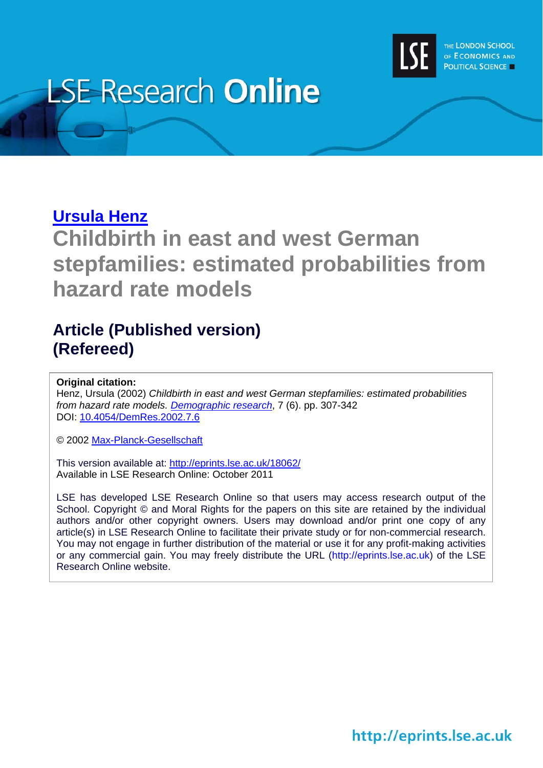

# **LSE Research Online**

## **[Ursula Henz](http://www2.lse.ac.uk/researchAndExpertise/Experts/profile.aspx?KeyValue=u.henz@lse.ac.uk)**

**Childbirth in east and west German stepfamilies: estimated probabilities from hazard rate models** 

# **Article (Published version) (Refereed)**

**Original citation:** 

Henz, Ursula (2002) *Childbirth in east and west German stepfamilies: estimated probabilities from hazard rate models. [Demographic research](http://www.demographic-research.org/)*, 7 (6). pp. 307-342 DOI: [10.4054/DemRes.2002.7.6](http://dx.doi.org/10.4054/DemRes.2002.7.6)

© 2002 [Max-Planck-Gesellschaft](http://www.mpg.de/de)

This version available at: <http://eprints.lse.ac.uk/18062/> Available in LSE Research Online: October 2011

LSE has developed LSE Research Online so that users may access research output of the School. Copyright © and Moral Rights for the papers on this site are retained by the individual authors and/or other copyright owners. Users may download and/or print one copy of any article(s) in LSE Research Online to facilitate their private study or for non-commercial research. You may not engage in further distribution of the material or use it for any profit-making activities or any commercial gain. You may freely distribute the URL (http://eprints.lse.ac.uk) of the LSE Research Online website.

http://eprints.lse.ac.uk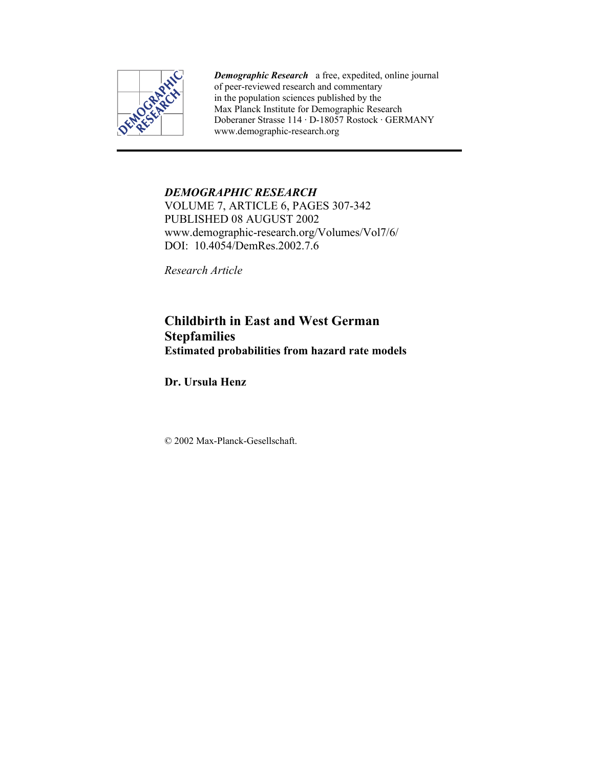

*Demographic Research* a free, expedited, online journal of peer-reviewed research and commentary in the population sciences published by the Max Planck Institute for Demographic Research Doberaner Strasse 114 · D-18057 Rostock · GERMANY www.demographic-research.org

## *DEMOGRAPHIC RESEARCH*

VOLUME 7, ARTICLE 6, PAGES 307-342 PUBLISHED 08 AUGUST 2002 www.demographic-research.org/Volumes/Vol7/6/ DOI: 10.4054/DemRes. 2002. 7.6

*Research Article* 

## **Childbirth in East and West German Stepfamilies Estimated probabilities from hazard rate models**

**Dr. Ursula Henz** 

© 2002 Max-Planck-Gesellschaft.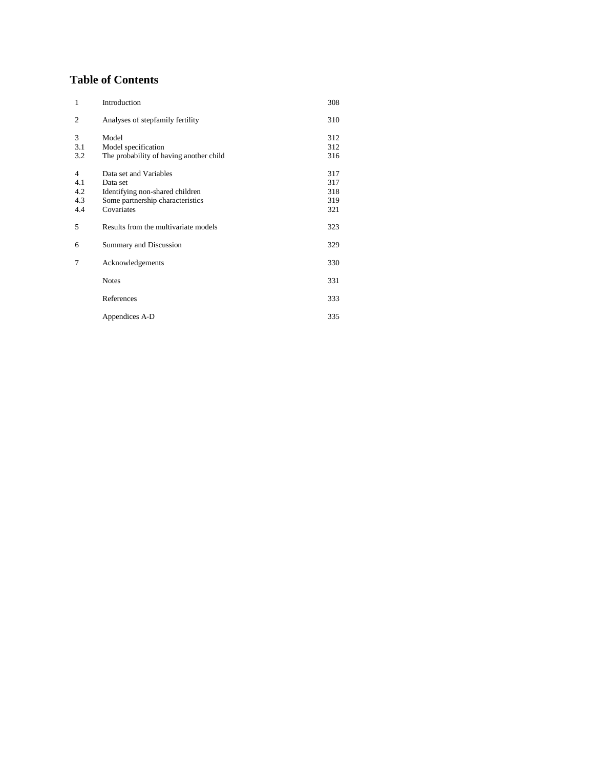## **Table of Contents**

| $\mathbf{1}$   | Introduction                            | 308 |
|----------------|-----------------------------------------|-----|
| 2              | Analyses of stepfamily fertility        | 310 |
| 3              | Model                                   | 312 |
| 3.1            | Model specification                     | 312 |
| 3.2            | The probability of having another child | 316 |
| $\overline{4}$ | Data set and Variables                  | 317 |
| 4.1            | Data set                                | 317 |
| 4.2            | Identifying non-shared children         | 318 |
| 4.3            | Some partnership characteristics        | 319 |
| 4.4            | Covariates                              | 321 |
| 5              | Results from the multivariate models    | 323 |
| 6              | Summary and Discussion                  | 329 |
| 7              | Acknowledgements                        | 330 |
|                | <b>Notes</b>                            | 331 |
|                | References                              | 333 |
|                | Appendices A-D                          | 335 |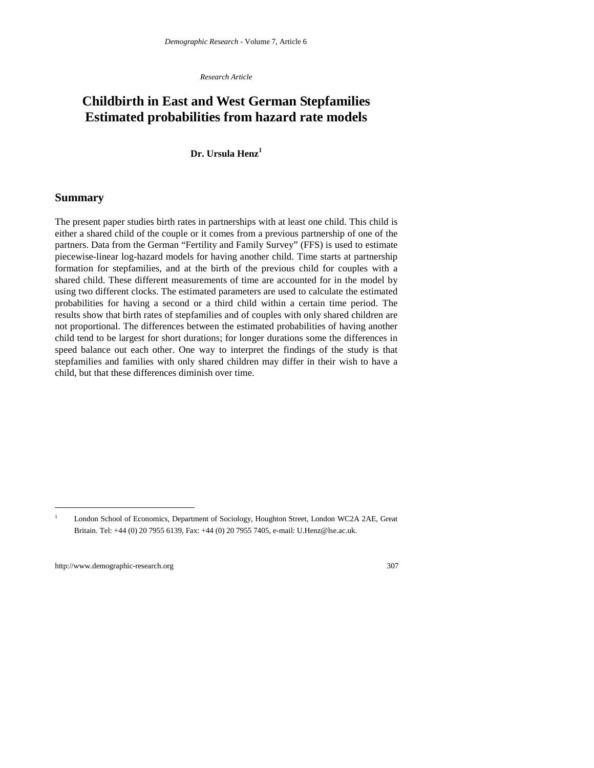*Research Article*

## **Childbirth in East and West German Stepfamilies Estimated probabilities from hazard rate models**

#### **Dr. Ursula Henz<sup>1</sup>**

#### **Summary**

The present paper studies birth rates in partnerships with at least one child. This child is either a shared child of the couple or it comes from a previous partnership of one of the partners. Data from the German "Fertility and Family Survey" (FFS) is used to estimate piecewise-linear log-hazard models for having another child. Time starts at partnership formation for stepfamilies, and at the birth of the previous child for couples with a shared child. These different measurements of time are accounted for in the model by using two different clocks. The estimated parameters are used to calculate the estimated probabilities for having a second or a third child within a certain time period. The results show that birth rates of stepfamilies and of couples with only shared children are not proportional. The differences between the estimated probabilities of having another child tend to be largest for short durations; for longer durations some the differences in speed balance out each other. One way to interpret the findings of the study is that stepfamilies and families with only shared children may differ in their wish to have a child, but that these differences diminish over time.

 $\overline{a}$ 

<sup>1</sup> London School of Economics, Department of Sociology, Houghton Street, London WC2A 2AE, Great Britain. Tel: +44 (0) 20 7955 6139, Fax: +44 (0) 20 7955 7405, e-mail: U.Henz@lse.ac.uk.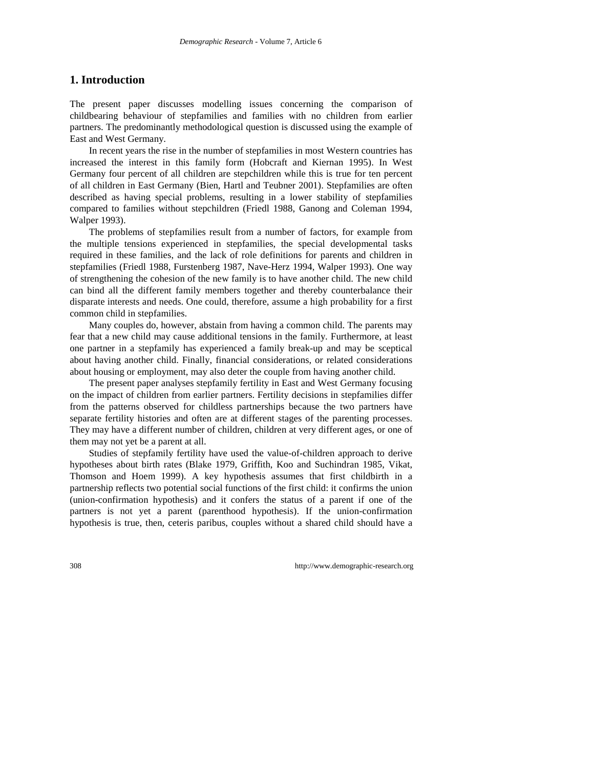## **1. Introduction**

The present paper discusses modelling issues concerning the comparison of childbearing behaviour of stepfamilies and families with no children from earlier partners. The predominantly methodological question is discussed using the example of East and West Germany.

In recent years the rise in the number of stepfamilies in most Western countries has increased the interest in this family form (Hobcraft and Kiernan 1995). In West Germany four percent of all children are stepchildren while this is true for ten percent of all children in East Germany (Bien, Hartl and Teubner 2001). Stepfamilies are often described as having special problems, resulting in a lower stability of stepfamilies compared to families without stepchildren (Friedl 1988, Ganong and Coleman 1994, Walper 1993).

The problems of stepfamilies result from a number of factors, for example from the multiple tensions experienced in stepfamilies, the special developmental tasks required in these families, and the lack of role definitions for parents and children in stepfamilies (Friedl 1988, Furstenberg 1987, Nave-Herz 1994, Walper 1993). One way of strengthening the cohesion of the new family is to have another child. The new child can bind all the different family members together and thereby counterbalance their disparate interests and needs. One could, therefore, assume a high probability for a first common child in stepfamilies.

Many couples do, however, abstain from having a common child. The parents may fear that a new child may cause additional tensions in the family. Furthermore, at least one partner in a stepfamily has experienced a family break-up and may be sceptical about having another child. Finally, financial considerations, or related considerations about housing or employment, may also deter the couple from having another child.

The present paper analyses stepfamily fertility in East and West Germany focusing on the impact of children from earlier partners. Fertility decisions in stepfamilies differ from the patterns observed for childless partnerships because the two partners have separate fertility histories and often are at different stages of the parenting processes. They may have a different number of children, children at very different ages, or one of them may not yet be a parent at all.

Studies of stepfamily fertility have used the value-of-children approach to derive hypotheses about birth rates (Blake 1979, Griffith, Koo and Suchindran 1985, Vikat, Thomson and Hoem 1999). A key hypothesis assumes that first childbirth in a partnership reflects two potential social functions of the first child: it confirms the union (union-confirmation hypothesis) and it confers the status of a parent if one of the partners is not yet a parent (parenthood hypothesis). If the union-confirmation hypothesis is true, then, ceteris paribus, couples without a shared child should have a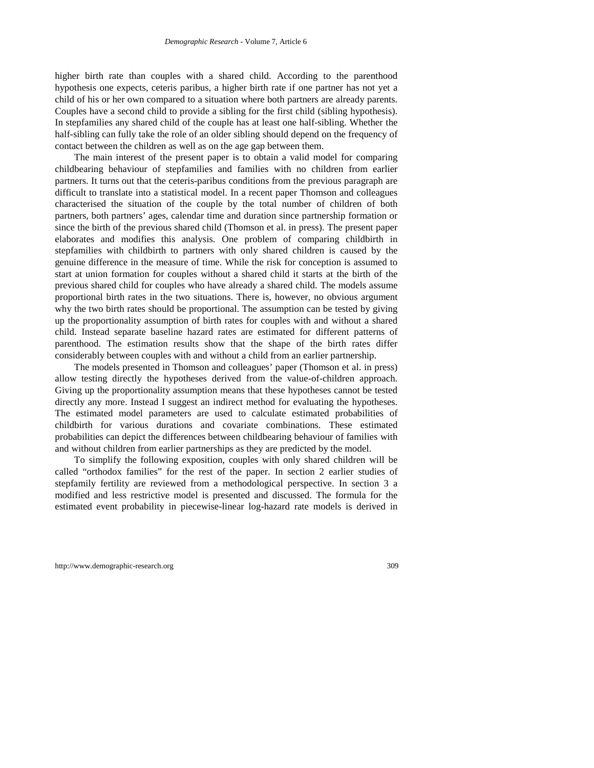higher birth rate than couples with a shared child. According to the parenthood hypothesis one expects, ceteris paribus, a higher birth rate if one partner has not yet a child of his or her own compared to a situation where both partners are already parents. Couples have a second child to provide a sibling for the first child (sibling hypothesis). In stepfamilies any shared child of the couple has at least one half-sibling. Whether the half-sibling can fully take the role of an older sibling should depend on the frequency of contact between the children as well as on the age gap between them.

The main interest of the present paper is to obtain a valid model for comparing childbearing behaviour of stepfamilies and families with no children from earlier partners. It turns out that the ceteris-paribus conditions from the previous paragraph are difficult to translate into a statistical model. In a recent paper Thomson and colleagues characterised the situation of the couple by the total number of children of both partners, both partners' ages, calendar time and duration since partnership formation or since the birth of the previous shared child (Thomson et al. in press). The present paper elaborates and modifies this analysis. One problem of comparing childbirth in stepfamilies with childbirth to partners with only shared children is caused by the genuine difference in the measure of time. While the risk for conception is assumed to start at union formation for couples without a shared child it starts at the birth of the previous shared child for couples who have already a shared child. The models assume proportional birth rates in the two situations. There is, however, no obvious argument why the two birth rates should be proportional. The assumption can be tested by giving up the proportionality assumption of birth rates for couples with and without a shared child. Instead separate baseline hazard rates are estimated for different patterns of parenthood. The estimation results show that the shape of the birth rates differ considerably between couples with and without a child from an earlier partnership.

The models presented in Thomson and colleagues' paper (Thomson et al. in press) allow testing directly the hypotheses derived from the value-of-children approach. Giving up the proportionality assumption means that these hypotheses cannot be tested directly any more. Instead I suggest an indirect method for evaluating the hypotheses. The estimated model parameters are used to calculate estimated probabilities of childbirth for various durations and covariate combinations. These estimated probabilities can depict the differences between childbearing behaviour of families with and without children from earlier partnerships as they are predicted by the model.

To simplify the following exposition, couples with only shared children will be called "orthodox families" for the rest of the paper. In section 2 earlier studies of stepfamily fertility are reviewed from a methodological perspective. In section 3 a modified and less restrictive model is presented and discussed. The formula for the estimated event probability in piecewise-linear log-hazard rate models is derived in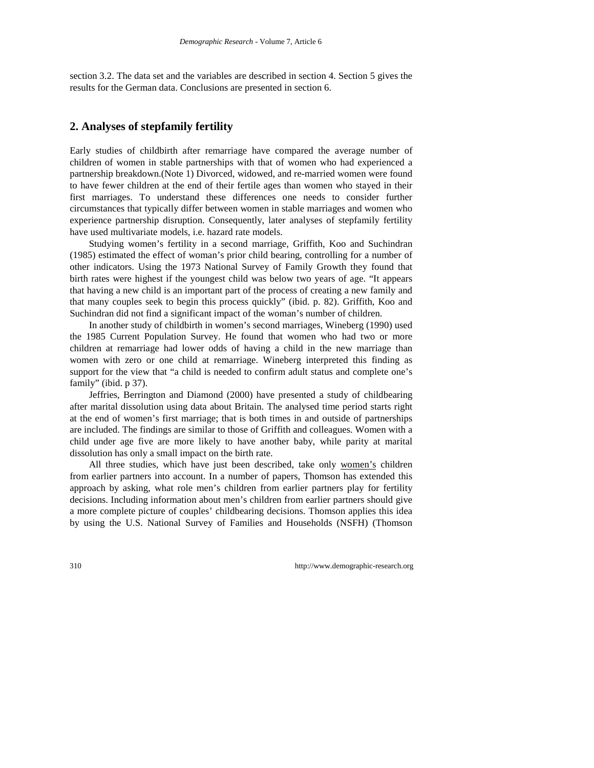section 3.2. The data set and the variables are described in section 4. Section 5 gives the results for the German data. Conclusions are presented in section 6.

## **2. Analyses of stepfamily fertility**

Early studies of childbirth after remarriage have compared the average number of children of women in stable partnerships with that of women who had experienced a partnership breakdown.(Note 1) Divorced, widowed, and re-married women were found to have fewer children at the end of their fertile ages than women who stayed in their first marriages. To understand these differences one needs to consider further circumstances that typically differ between women in stable marriages and women who experience partnership disruption. Consequently, later analyses of stepfamily fertility have used multivariate models, i.e. hazard rate models.

Studying women's fertility in a second marriage, Griffith, Koo and Suchindran (1985) estimated the effect of woman's prior child bearing, controlling for a number of other indicators. Using the 1973 National Survey of Family Growth they found that birth rates were highest if the youngest child was below two years of age. "It appears that having a new child is an important part of the process of creating a new family and that many couples seek to begin this process quickly" (ibid. p. 82). Griffith, Koo and Suchindran did not find a significant impact of the woman's number of children.

In another study of childbirth in women's second marriages, Wineberg (1990) used the 1985 Current Population Survey. He found that women who had two or more children at remarriage had lower odds of having a child in the new marriage than women with zero or one child at remarriage. Wineberg interpreted this finding as support for the view that "a child is needed to confirm adult status and complete one's family" (ibid. p 37).

Jeffries, Berrington and Diamond (2000) have presented a study of childbearing after marital dissolution using data about Britain. The analysed time period starts right at the end of women's first marriage; that is both times in and outside of partnerships are included. The findings are similar to those of Griffith and colleagues. Women with a child under age five are more likely to have another baby, while parity at marital dissolution has only a small impact on the birth rate.

All three studies, which have just been described, take only women's children from earlier partners into account. In a number of papers, Thomson has extended this approach by asking, what role men's children from earlier partners play for fertility decisions. Including information about men's children from earlier partners should give a more complete picture of couples' childbearing decisions. Thomson applies this idea by using the U.S. National Survey of Families and Households (NSFH) (Thomson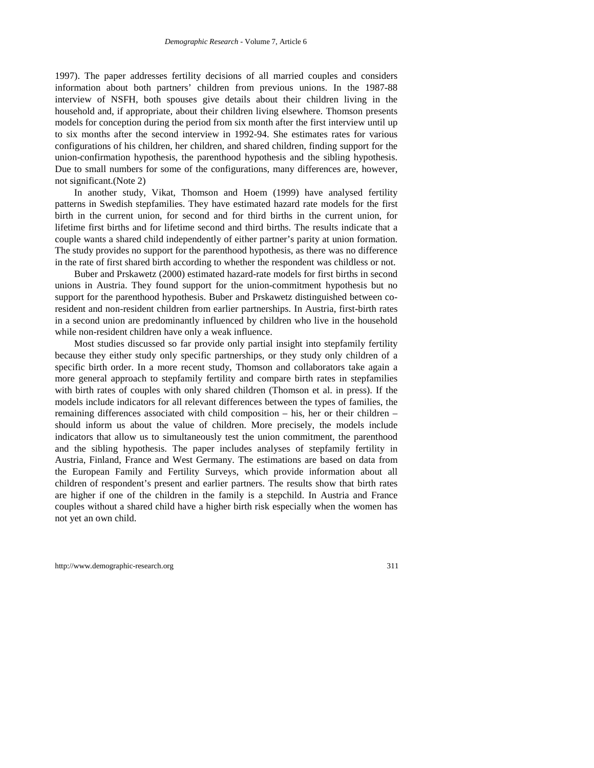1997). The paper addresses fertility decisions of all married couples and considers information about both partners' children from previous unions. In the 1987-88 interview of NSFH, both spouses give details about their children living in the household and, if appropriate, about their children living elsewhere. Thomson presents models for conception during the period from six month after the first interview until up to six months after the second interview in 1992-94. She estimates rates for various configurations of his children, her children, and shared children, finding support for the union-confirmation hypothesis, the parenthood hypothesis and the sibling hypothesis. Due to small numbers for some of the configurations, many differences are, however, not significant.(Note 2)

In another study, Vikat, Thomson and Hoem (1999) have analysed fertility patterns in Swedish stepfamilies. They have estimated hazard rate models for the first birth in the current union, for second and for third births in the current union, for lifetime first births and for lifetime second and third births. The results indicate that a couple wants a shared child independently of either partner's parity at union formation. The study provides no support for the parenthood hypothesis, as there was no difference in the rate of first shared birth according to whether the respondent was childless or not.

Buber and Prskawetz (2000) estimated hazard-rate models for first births in second unions in Austria. They found support for the union-commitment hypothesis but no support for the parenthood hypothesis. Buber and Prskawetz distinguished between coresident and non-resident children from earlier partnerships. In Austria, first-birth rates in a second union are predominantly influenced by children who live in the household while non-resident children have only a weak influence.

Most studies discussed so far provide only partial insight into stepfamily fertility because they either study only specific partnerships, or they study only children of a specific birth order. In a more recent study, Thomson and collaborators take again a more general approach to stepfamily fertility and compare birth rates in stepfamilies with birth rates of couples with only shared children (Thomson et al. in press). If the models include indicators for all relevant differences between the types of families, the remaining differences associated with child composition – his, her or their children – should inform us about the value of children. More precisely, the models include indicators that allow us to simultaneously test the union commitment, the parenthood and the sibling hypothesis. The paper includes analyses of stepfamily fertility in Austria, Finland, France and West Germany. The estimations are based on data from the European Family and Fertility Surveys, which provide information about all children of respondent's present and earlier partners. The results show that birth rates are higher if one of the children in the family is a stepchild. In Austria and France couples without a shared child have a higher birth risk especially when the women has not yet an own child.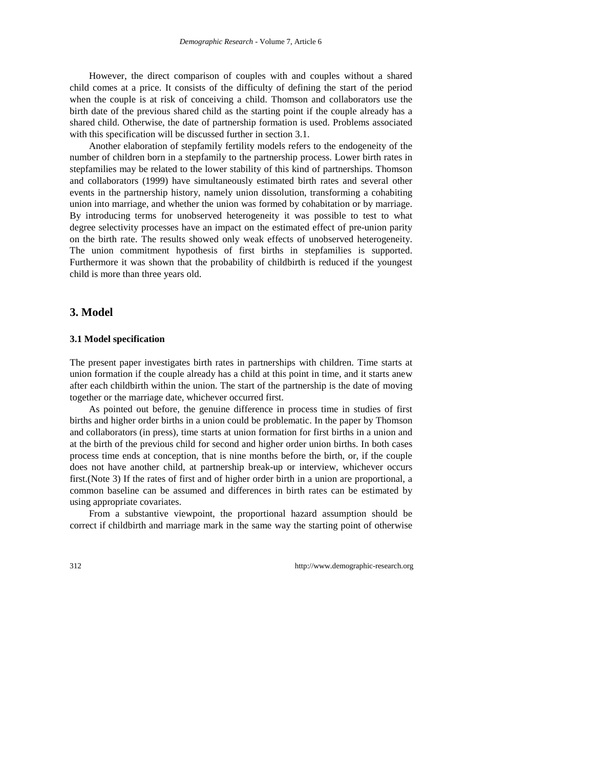However, the direct comparison of couples with and couples without a shared child comes at a price. It consists of the difficulty of defining the start of the period when the couple is at risk of conceiving a child. Thomson and collaborators use the birth date of the previous shared child as the starting point if the couple already has a shared child. Otherwise, the date of partnership formation is used. Problems associated with this specification will be discussed further in section 3.1.

Another elaboration of stepfamily fertility models refers to the endogeneity of the number of children born in a stepfamily to the partnership process. Lower birth rates in stepfamilies may be related to the lower stability of this kind of partnerships. Thomson and collaborators (1999) have simultaneously estimated birth rates and several other events in the partnership history, namely union dissolution, transforming a cohabiting union into marriage, and whether the union was formed by cohabitation or by marriage. By introducing terms for unobserved heterogeneity it was possible to test to what degree selectivity processes have an impact on the estimated effect of pre-union parity on the birth rate. The results showed only weak effects of unobserved heterogeneity. The union commitment hypothesis of first births in stepfamilies is supported. Furthermore it was shown that the probability of childbirth is reduced if the youngest child is more than three years old.

#### **3. Model**

#### **3.1 Model specification**

The present paper investigates birth rates in partnerships with children. Time starts at union formation if the couple already has a child at this point in time, and it starts anew after each childbirth within the union. The start of the partnership is the date of moving together or the marriage date, whichever occurred first.

As pointed out before, the genuine difference in process time in studies of first births and higher order births in a union could be problematic. In the paper by Thomson and collaborators (in press), time starts at union formation for first births in a union and at the birth of the previous child for second and higher order union births. In both cases process time ends at conception, that is nine months before the birth, or, if the couple does not have another child, at partnership break-up or interview, whichever occurs first.(Note 3) If the rates of first and of higher order birth in a union are proportional, a common baseline can be assumed and differences in birth rates can be estimated by using appropriate covariates.

From a substantive viewpoint, the proportional hazard assumption should be correct if childbirth and marriage mark in the same way the starting point of otherwise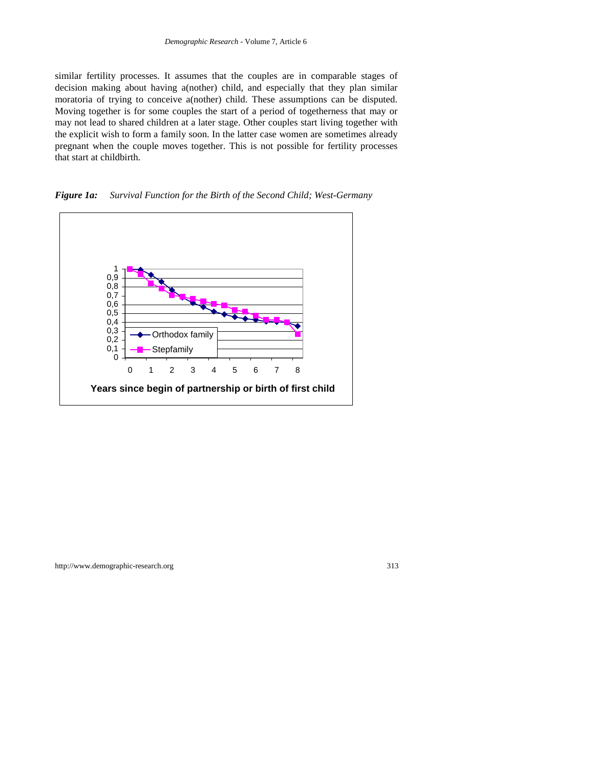similar fertility processes. It assumes that the couples are in comparable stages of decision making about having a(nother) child, and especially that they plan similar moratoria of trying to conceive a(nother) child. These assumptions can be disputed. Moving together is for some couples the start of a period of togetherness that may or may not lead to shared children at a later stage. Other couples start living together with the explicit wish to form a family soon. In the latter case women are sometimes already pregnant when the couple moves together. This is not possible for fertility processes that start at childbirth.

*Figure 1a: Survival Function for the Birth of the Second Child; West-Germany*

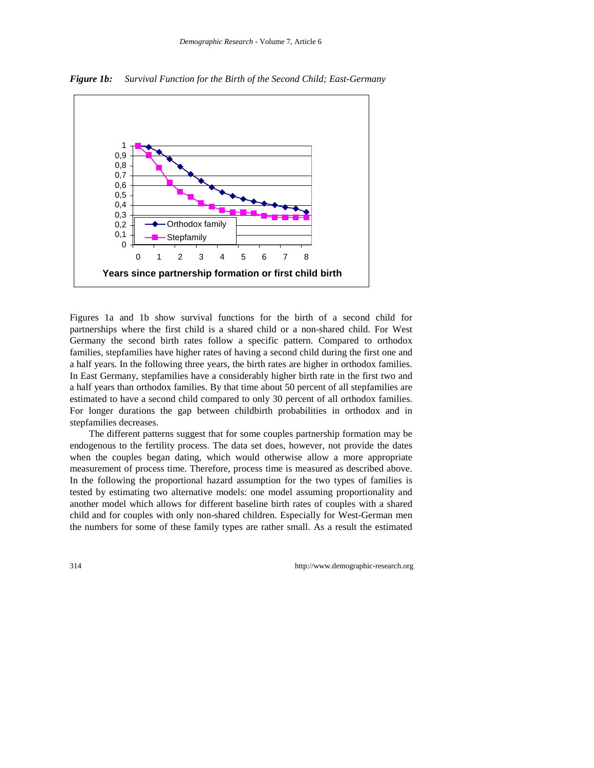

*Figure 1b: Survival Function for the Birth of the Second Child; East-Germany*

Figures 1a and 1b show survival functions for the birth of a second child for partnerships where the first child is a shared child or a non-shared child. For West Germany the second birth rates follow a specific pattern. Compared to orthodox families, stepfamilies have higher rates of having a second child during the first one and a half years. In the following three years, the birth rates are higher in orthodox families. In East Germany, stepfamilies have a considerably higher birth rate in the first two and a half years than orthodox families. By that time about 50 percent of all stepfamilies are estimated to have a second child compared to only 30 percent of all orthodox families. For longer durations the gap between childbirth probabilities in orthodox and in stepfamilies decreases.

The different patterns suggest that for some couples partnership formation may be endogenous to the fertility process. The data set does, however, not provide the dates when the couples began dating, which would otherwise allow a more appropriate measurement of process time. Therefore, process time is measured as described above. In the following the proportional hazard assumption for the two types of families is tested by estimating two alternative models: one model assuming proportionality and another model which allows for different baseline birth rates of couples with a shared child and for couples with only non-shared children. Especially for West-German men the numbers for some of these family types are rather small. As a result the estimated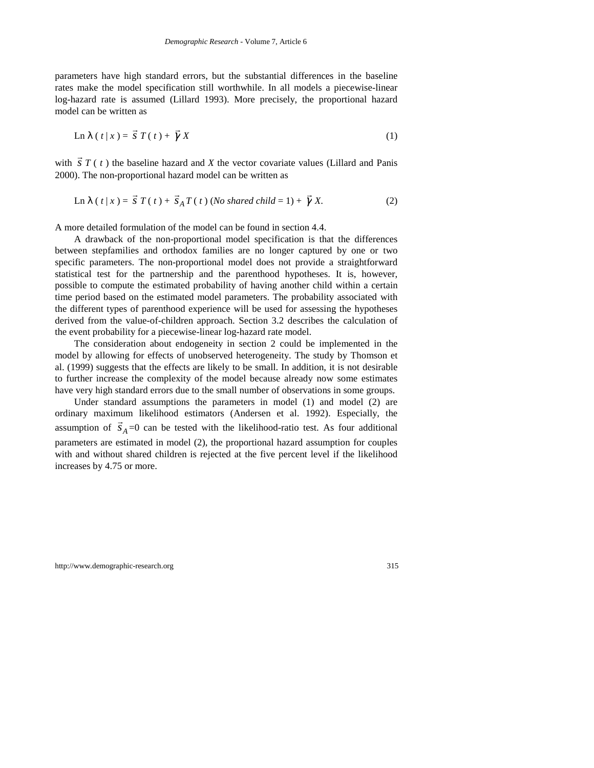parameters have high standard errors, but the substantial differences in the baseline rates make the model specification still worthwhile. In all models a piecewise-linear log-hazard rate is assumed (Lillard 1993). More precisely, the proportional hazard model can be written as

$$
\operatorname{Ln} \lambda (t | x) = \vec{S} T(t) + \vec{\gamma} X \tag{1}
$$

with  $\vec{s}$   $T$  ( $t$ ) the baseline hazard and  $X$  the vector covariate values (Lillard and Panis 2000). The non-proportional hazard model can be written as

$$
\text{Ln } \lambda \left( \left. t \right| x \right) = \vec{s} \left. T \left( \left. t \right) + \vec{s}_A T \left( \left. t \right) \left( \text{No shared child} = 1 \right) + \vec{\gamma} \right. X. \right) \tag{2}
$$

A more detailed formulation of the model can be found in section 4.4.

A drawback of the non-proportional model specification is that the differences between stepfamilies and orthodox families are no longer captured by one or two specific parameters. The non-proportional model does not provide a straightforward statistical test for the partnership and the parenthood hypotheses. It is, however, possible to compute the estimated probability of having another child within a certain time period based on the estimated model parameters. The probability associated with the different types of parenthood experience will be used for assessing the hypotheses derived from the value-of-children approach. Section 3.2 describes the calculation of the event probability for a piecewise-linear log-hazard rate model.

The consideration about endogeneity in section 2 could be implemented in the model by allowing for effects of unobserved heterogeneity. The study by Thomson et al. (1999) suggests that the effects are likely to be small. In addition, it is not desirable to further increase the complexity of the model because already now some estimates have very high standard errors due to the small number of observations in some groups.

Under standard assumptions the parameters in model (1) and model (2) are ordinary maximum likelihood estimators (Andersen et al. 1992). Especially, the  $\alpha$  assumption of  $\vec{s}_A = 0$  can be tested with the likelihood-ratio test. As four additional parameters are estimated in model (2), the proportional hazard assumption for couples with and without shared children is rejected at the five percent level if the likelihood increases by 4.75 or more.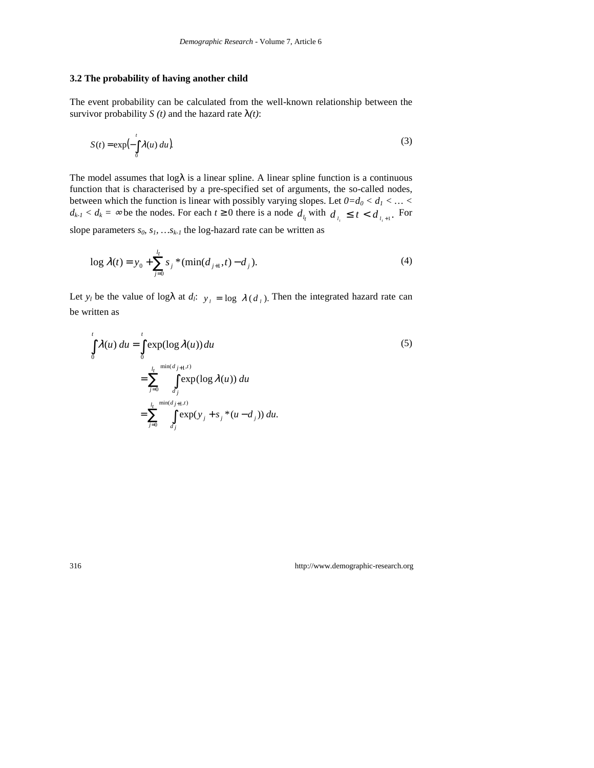#### **3.2 The probability of having another child**

The event probability can be calculated from the well-known relationship between the survivor probability *S* (*t*) and the hazard rate  $\lambda(t)$ :

$$
S(t) = \exp\left(-\int_{0}^{t} \lambda(u) \, du\right). \tag{3}
$$

The model assumes that  $log \lambda$  is a linear spline. A linear spline function is a continuous function that is characterised by a pre-specified set of arguments, the so-called nodes, between which the function is linear with possibly varying slopes. Let  $0=d_0 < d_1 < ... <$  $d_{k-l} < d_k = \infty$  be the nodes. For each  $t \ge 0$  there is a node  $d_{l_t}$  with  $d_{l_t} \le t < d_{l_{t+1}}$ . For slope parameters  $s_0$ ,  $s_1$ , ..., $s_{k-1}$ , the log-hazard rate can be written as

$$
\log \lambda(t) = y_0 + \sum_{j=0}^{l_t} s_j \cdot (\min(d_{j+1}, t) - d_j). \tag{4}
$$

Let  $y_l$  be the value of log $\lambda$  at  $d_l$ :  $y_l = \log \lambda(d_l)$ . Then the integrated hazard rate can be written as

$$
\int_{0}^{t} \lambda(u) du = \int_{0}^{t} \exp(\log \lambda(u)) du
$$
\n
$$
= \sum_{j=0}^{l_{t}} \int_{d_{j}}^{\min(d_{j+1}, t)} \exp(\log \lambda(u)) du
$$
\n
$$
= \sum_{j=0}^{l_{t}} \int_{d_{j}}^{\min(d_{j+1}, t)} \exp(y_{j} + s_{j} * (u - d_{j})) du.
$$
\n(5)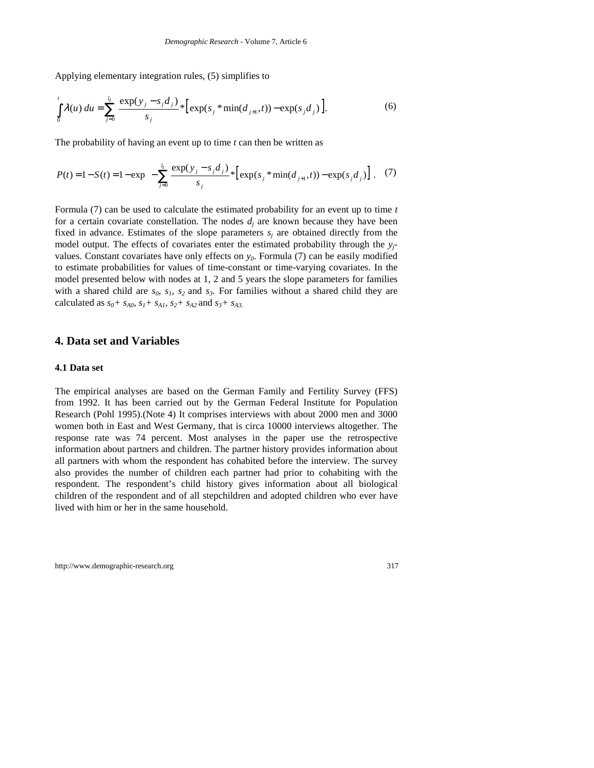Applying elementary integration rules, (5) simplifies to

$$
\int_{0}^{t} \lambda(u) du = \sum_{j=0}^{l_{t}} \frac{\exp(y_{j} - s_{j}d_{j})}{s_{j}} * \left[ \exp(s_{j} * \min(d_{j+1}, t)) - \exp(s_{j}d_{j}) \right].
$$
\n(6)

The probability of having an event up to time *t* can then be written as

$$
P(t) = 1 - S(t) = 1 - \exp\left(-\sum_{j=0}^{l_t} \frac{\exp(y_j - s_j d_j)}{s_j} * \left[\exp(s_j * \min(d_{j+1}, t)) - \exp(s_j d_j)\right]\right)
$$
(7)

Formula (7) can be used to calculate the estimated probability for an event up to time *t* for a certain covariate constellation. The nodes  $d_i$  are known because they have been fixed in advance. Estimates of the slope parameters  $s_i$  are obtained directly from the model output. The effects of covariates enter the estimated probability through the  $y_i$ values. Constant covariates have only effects on  $y_0$ . Formula (7) can be easily modified to estimate probabilities for values of time-constant or time-varying covariates. In the model presented below with nodes at 1, 2 and 5 years the slope parameters for families with a shared child are  $s_0$ ,  $s_1$ ,  $s_2$  and  $s_3$ . For families without a shared child they are calculated as  $s_0 + s_{A0}$ ,  $s_1 + s_{A1}$ ,  $s_2 + s_{A2}$  and  $s_3 + s_{A3}$ .

#### **4. Data set and Variables**

#### **4.1 Data set**

The empirical analyses are based on the German Family and Fertility Survey (FFS) from 1992. It has been carried out by the German Federal Institute for Population Research (Pohl 1995).(Note 4) It comprises interviews with about 2000 men and 3000 women both in East and West Germany, that is circa 10000 interviews altogether. The response rate was 74 percent. Most analyses in the paper use the retrospective information about partners and children. The partner history provides information about all partners with whom the respondent has cohabited before the interview. The survey also provides the number of children each partner had prior to cohabiting with the respondent. The respondent's child history gives information about all biological children of the respondent and of all stepchildren and adopted children who ever have lived with him or her in the same household.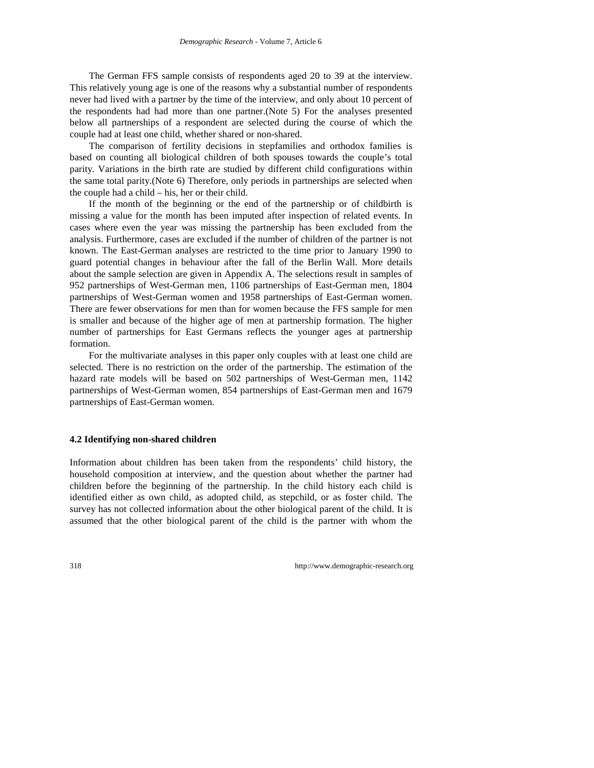The German FFS sample consists of respondents aged 20 to 39 at the interview. This relatively young age is one of the reasons why a substantial number of respondents never had lived with a partner by the time of the interview, and only about 10 percent of the respondents had had more than one partner.(Note 5) For the analyses presented below all partnerships of a respondent are selected during the course of which the couple had at least one child, whether shared or non-shared.

The comparison of fertility decisions in stepfamilies and orthodox families is based on counting all biological children of both spouses towards the couple's total parity. Variations in the birth rate are studied by different child configurations within the same total parity.(Note 6) Therefore, only periods in partnerships are selected when the couple had a child – his, her or their child.

If the month of the beginning or the end of the partnership or of childbirth is missing a value for the month has been imputed after inspection of related events. In cases where even the year was missing the partnership has been excluded from the analysis. Furthermore, cases are excluded if the number of children of the partner is not known. The East-German analyses are restricted to the time prior to January 1990 to guard potential changes in behaviour after the fall of the Berlin Wall. More details about the sample selection are given in Appendix A. The selections result in samples of 952 partnerships of West-German men, 1106 partnerships of East-German men, 1804 partnerships of West-German women and 1958 partnerships of East-German women. There are fewer observations for men than for women because the FFS sample for men is smaller and because of the higher age of men at partnership formation. The higher number of partnerships for East Germans reflects the younger ages at partnership formation.

For the multivariate analyses in this paper only couples with at least one child are selected. There is no restriction on the order of the partnership. The estimation of the hazard rate models will be based on 502 partnerships of West-German men, 1142 partnerships of West-German women, 854 partnerships of East-German men and 1679 partnerships of East-German women.

#### **4.2 Identifying non-shared children**

Information about children has been taken from the respondents' child history, the household composition at interview, and the question about whether the partner had children before the beginning of the partnership. In the child history each child is identified either as own child, as adopted child, as stepchild, or as foster child. The survey has not collected information about the other biological parent of the child. It is assumed that the other biological parent of the child is the partner with whom the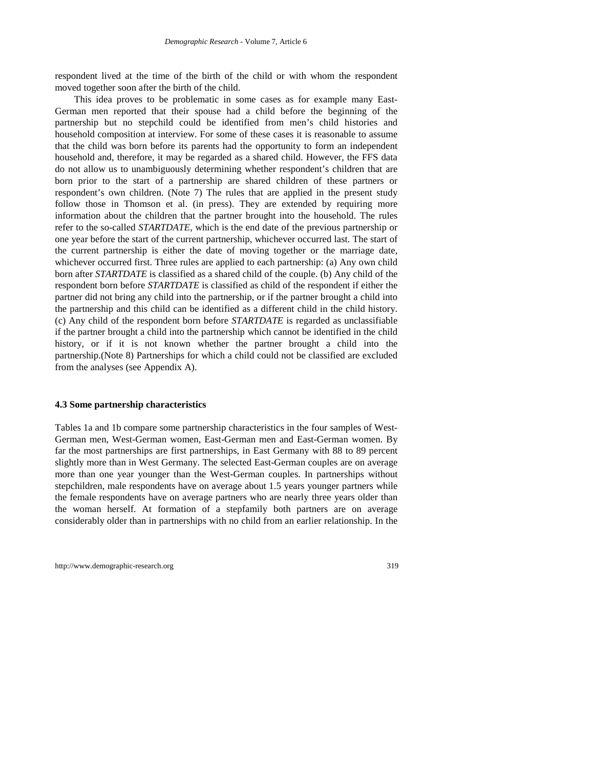respondent lived at the time of the birth of the child or with whom the respondent moved together soon after the birth of the child.

This idea proves to be problematic in some cases as for example many East-German men reported that their spouse had a child before the beginning of the partnership but no stepchild could be identified from men's child histories and household composition at interview. For some of these cases it is reasonable to assume that the child was born before its parents had the opportunity to form an independent household and, therefore, it may be regarded as a shared child. However, the FFS data do not allow us to unambiguously determining whether respondent's children that are born prior to the start of a partnership are shared children of these partners or respondent's own children. (Note 7) The rules that are applied in the present study follow those in Thomson et al. (in press). They are extended by requiring more information about the children that the partner brought into the household. The rules refer to the so-called *STARTDATE*, which is the end date of the previous partnership or one year before the start of the current partnership, whichever occurred last. The start of the current partnership is either the date of moving together or the marriage date, whichever occurred first. Three rules are applied to each partnership: (a) Any own child born after *STARTDATE* is classified as a shared child of the couple. (b) Any child of the respondent born before *STARTDATE* is classified as child of the respondent if either the partner did not bring any child into the partnership, or if the partner brought a child into the partnership and this child can be identified as a different child in the child history. (c) Any child of the respondent born before *STARTDATE* is regarded as unclassifiable if the partner brought a child into the partnership which cannot be identified in the child history, or if it is not known whether the partner brought a child into the partnership.(Note 8) Partnerships for which a child could not be classified are excluded from the analyses (see Appendix A).

#### **4.3 Some partnership characteristics**

Tables 1a and 1b compare some partnership characteristics in the four samples of West-German men, West-German women, East-German men and East-German women. By far the most partnerships are first partnerships, in East Germany with 88 to 89 percent slightly more than in West Germany. The selected East-German couples are on average more than one year younger than the West-German couples. In partnerships without stepchildren, male respondents have on average about 1.5 years younger partners while the female respondents have on average partners who are nearly three years older than the woman herself. At formation of a stepfamily both partners are on average considerably older than in partnerships with no child from an earlier relationship. In the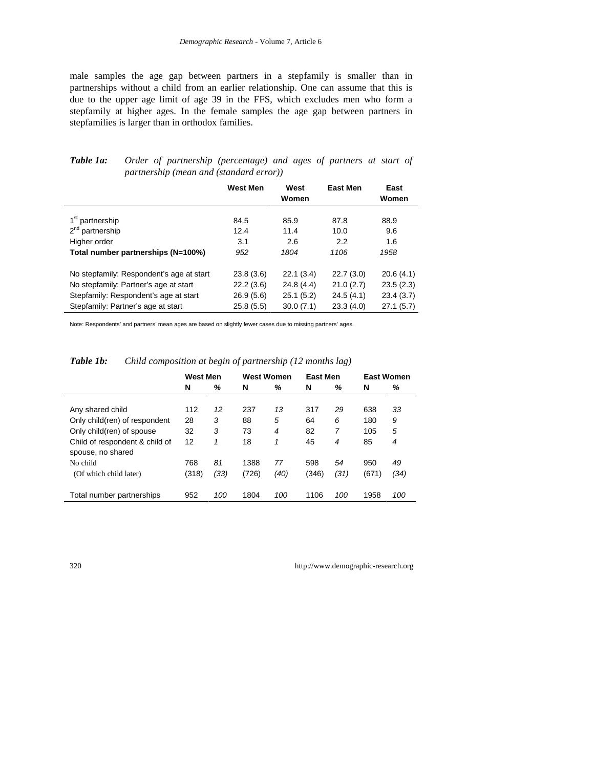male samples the age gap between partners in a stepfamily is smaller than in partnerships without a child from an earlier relationship. One can assume that this is due to the upper age limit of age 39 in the FFS, which excludes men who form a stepfamily at higher ages. In the female samples the age gap between partners in stepfamilies is larger than in orthodox families.

|                                          | <b>West Men</b> | West<br>Women | <b>East Men</b> | East<br>Women |
|------------------------------------------|-----------------|---------------|-----------------|---------------|
| 1 <sup>st</sup> partnership              | 84.5            | 85.9          | 87.8            | 88.9          |
| $2^{nd}$ partnership                     | 12.4            | 11.4          | 10.0            | 9.6           |
| Higher order                             | 3.1             | 2.6           | 2.2             | 1.6           |
| Total number partnerships (N=100%)       | 952             | 1804          | 1106            | 1958          |
| No stepfamily: Respondent's age at start | 23.8(3.6)       | 22.1(3.4)     | 22.7(3.0)       | 20.6(4.1)     |
| No stepfamily: Partner's age at start    | 22.2(3.6)       | 24.8 (4.4)    | 21.0(2.7)       | 23.5(2.3)     |
| Stepfamily: Respondent's age at start    | 26.9(5.6)       | 25.1(5.2)     | 24.5(4.1)       | 23.4(3.7)     |
| Stepfamily: Partner's age at start       | 25.8(5.5)       | 30.0(7.1)     | 23.3(4.0)       | 27.1(5.7)     |

#### *Table 1a: Order of partnership (percentage) and ages of partners at start of partnership (mean and (standard error))*

Note: Respondents' and partners' mean ages are based on slightly fewer cases due to missing partners' ages.

|                                                     | <b>West Men</b> |      | <b>West Women</b> |      | East Men |      | <b>East Women</b> |      |
|-----------------------------------------------------|-----------------|------|-------------------|------|----------|------|-------------------|------|
|                                                     | N               | ℅    | N                 | ℅    | N        | ℅    | N                 | %    |
| Any shared child                                    | 112             | 12   | 237               | 13   | 317      | 29   | 638               | 33   |
| Only child(ren) of respondent                       | 28              | 3    | 88                | 5    | 64       | 6    | 180               | 9    |
| Only child(ren) of spouse                           | 32              | 3    | 73                | 4    | 82       | 7    | 105               | 5    |
| Child of respondent & child of<br>spouse, no shared | 12              | 1    | 18                | 1    | 45       | 4    | 85                | 4    |
| No child                                            | 768             | 81   | 1388              | 77   | 598      | 54   | 950               | 49   |
| (Of which child later)                              | (318)           | (33) | (726)             | (40) | (346)    | (31) | (671)             | (34) |
| Total number partnerships                           | 952             | 100  | 1804              | 100  | 1106     | 100  | 1958              | 100  |

#### *Table 1b: Child composition at begin of partnership (12 months lag)*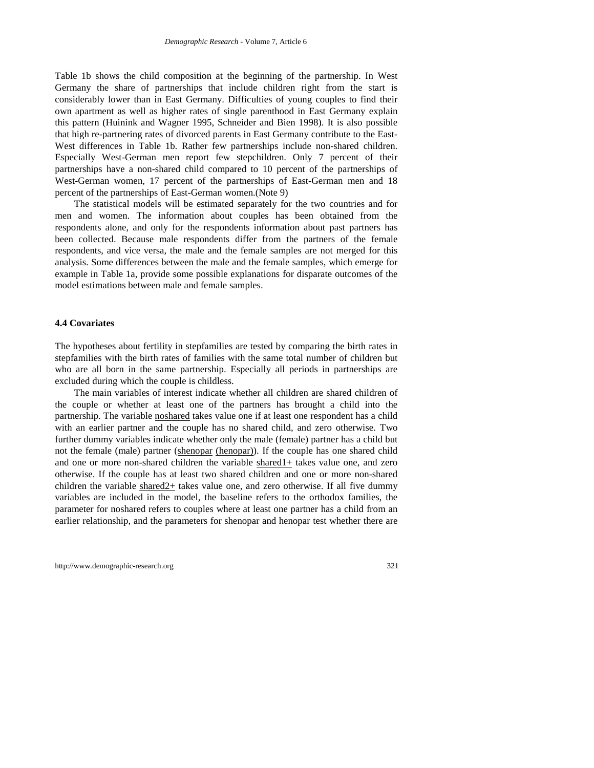Table 1b shows the child composition at the beginning of the partnership. In West Germany the share of partnerships that include children right from the start is considerably lower than in East Germany. Difficulties of young couples to find their own apartment as well as higher rates of single parenthood in East Germany explain this pattern (Huinink and Wagner 1995, Schneider and Bien 1998). It is also possible that high re-partnering rates of divorced parents in East Germany contribute to the East-West differences in Table 1b. Rather few partnerships include non-shared children. Especially West-German men report few stepchildren. Only 7 percent of their partnerships have a non-shared child compared to 10 percent of the partnerships of West-German women, 17 percent of the partnerships of East-German men and 18 percent of the partnerships of East-German women.(Note 9)

The statistical models will be estimated separately for the two countries and for men and women. The information about couples has been obtained from the respondents alone, and only for the respondents information about past partners has been collected. Because male respondents differ from the partners of the female respondents, and vice versa, the male and the female samples are not merged for this analysis. Some differences between the male and the female samples, which emerge for example in Table 1a, provide some possible explanations for disparate outcomes of the model estimations between male and female samples.

#### **4.4 Covariates**

The hypotheses about fertility in stepfamilies are tested by comparing the birth rates in stepfamilies with the birth rates of families with the same total number of children but who are all born in the same partnership. Especially all periods in partnerships are excluded during which the couple is childless.

The main variables of interest indicate whether all children are shared children of the couple or whether at least one of the partners has brought a child into the partnership. The variable noshared takes value one if at least one respondent has a child with an earlier partner and the couple has no shared child, and zero otherwise. Two further dummy variables indicate whether only the male (female) partner has a child but not the female (male) partner (shenopar (henopar)). If the couple has one shared child and one or more non-shared children the variable shared1+ takes value one, and zero otherwise. If the couple has at least two shared children and one or more non-shared children the variable shared2+ takes value one, and zero otherwise. If all five dummy variables are included in the model, the baseline refers to the orthodox families, the parameter for noshared refers to couples where at least one partner has a child from an earlier relationship, and the parameters for shenopar and henopar test whether there are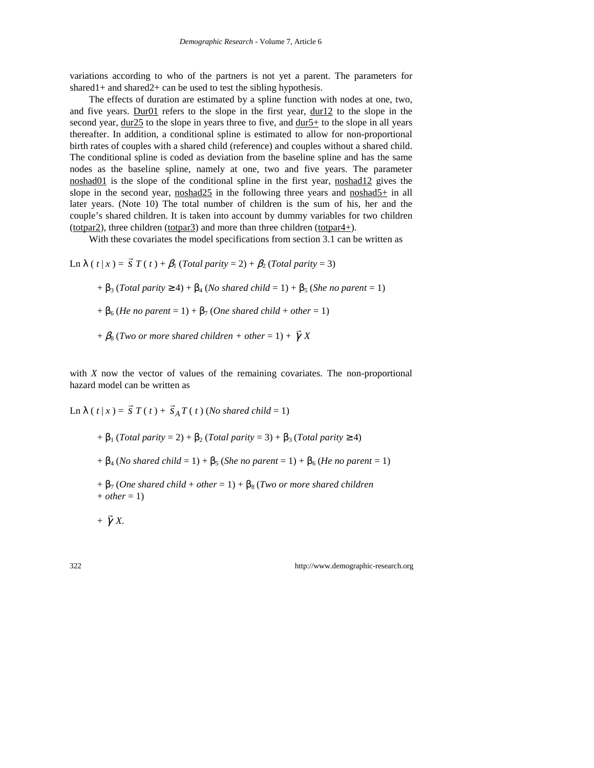variations according to who of the partners is not yet a parent. The parameters for shared1+ and shared2+ can be used to test the sibling hypothesis.

The effects of duration are estimated by a spline function with nodes at one, two, and five years. Dur01 refers to the slope in the first year, dur12 to the slope in the second year, dur25 to the slope in years three to five, and dur5+ to the slope in all years thereafter. In addition, a conditional spline is estimated to allow for non-proportional birth rates of couples with a shared child (reference) and couples without a shared child. The conditional spline is coded as deviation from the baseline spline and has the same nodes as the baseline spline, namely at one, two and five years. The parameter noshad01 is the slope of the conditional spline in the first year, noshad12 gives the slope in the second year, noshad25 in the following three years and noshad5+ in all later years. (Note 10) The total number of children is the sum of his, her and the couple's shared children. It is taken into account by dummy variables for two children (totpar2), three children (totpar3) and more than three children (totpar4+).

With these covariates the model specifications from section 3.1 can be written as

Ln 
$$
\lambda
$$
 ( $t | x$ ) =  $\vec{s}$   $T$  ( $t$ ) +  $\beta_1$  (Total parity = 2) +  $\beta_2$  (Total parity = 3)  
+  $\beta_3$  (Total parity  $\ge$  4) +  $\beta_4$  (No shared child = 1) +  $\beta_5$  (She no parent = 1)  
+  $\beta_6$  (He no parent = 1) +  $\beta_7$  (One shared child + other = 1)  
+  $\beta_8$  (Two or more shared children + other = 1) +  $\vec{\gamma}$  X

with *X* now the vector of values of the remaining covariates. The non-proportional hazard model can be written as

Ln 
$$
\lambda
$$
 ( $t | x$ ) =  $\vec{S}$   $T$  ( $t$ ) +  $\vec{S}_A T$  ( $t$ ) (No shared child = 1)  
+  $\beta_1$  (Total parity = 2) +  $\beta_2$  (Total parity = 3) +  $\beta_3$  (Total parity  $\ge$  4)  
+  $\beta_4$  (No shared child = 1) +  $\beta_5$  (She no parent = 1) +  $\beta_6$  (He no parent = 1)  
+  $\beta_7$  (One shared child + other = 1) +  $\beta_8$  (Two or more shared children  
+ other = 1)  
+  $\vec{\gamma}$  X.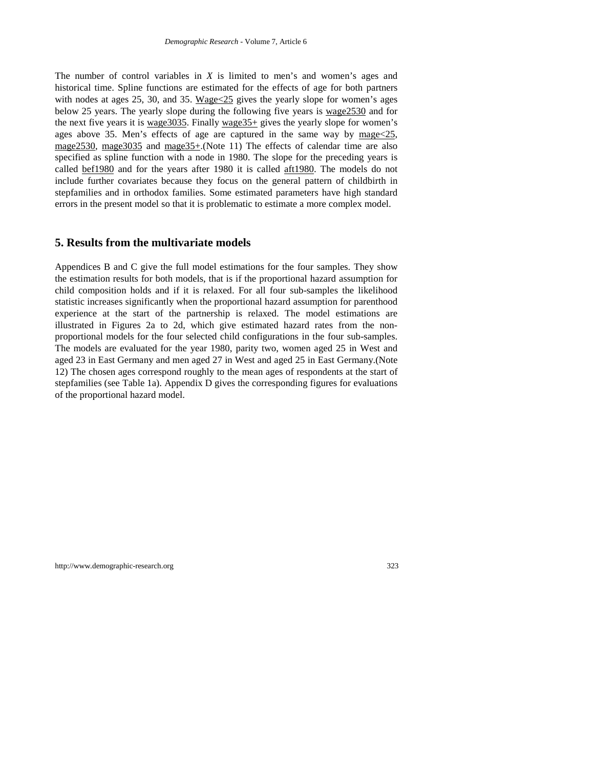The number of control variables in *X* is limited to men's and women's ages and historical time. Spline functions are estimated for the effects of age for both partners with nodes at ages 25, 30, and 35. Wage<25 gives the yearly slope for women's ages below 25 years. The yearly slope during the following five years is wage2530 and for the next five years it is wage3035. Finally wage35+ gives the yearly slope for women's ages above 35. Men's effects of age are captured in the same way by mage<25, mage2530, mage3035 and mage35+.(Note 11) The effects of calendar time are also specified as spline function with a node in 1980. The slope for the preceding years is called bef1980 and for the years after 1980 it is called aft1980. The models do not include further covariates because they focus on the general pattern of childbirth in stepfamilies and in orthodox families. Some estimated parameters have high standard errors in the present model so that it is problematic to estimate a more complex model.

## **5. Results from the multivariate models**

Appendices B and C give the full model estimations for the four samples. They show the estimation results for both models, that is if the proportional hazard assumption for child composition holds and if it is relaxed. For all four sub-samples the likelihood statistic increases significantly when the proportional hazard assumption for parenthood experience at the start of the partnership is relaxed. The model estimations are illustrated in Figures 2a to 2d, which give estimated hazard rates from the nonproportional models for the four selected child configurations in the four sub-samples. The models are evaluated for the year 1980, parity two, women aged 25 in West and aged 23 in East Germany and men aged 27 in West and aged 25 in East Germany.(Note 12) The chosen ages correspond roughly to the mean ages of respondents at the start of stepfamilies (see Table 1a). Appendix D gives the corresponding figures for evaluations of the proportional hazard model.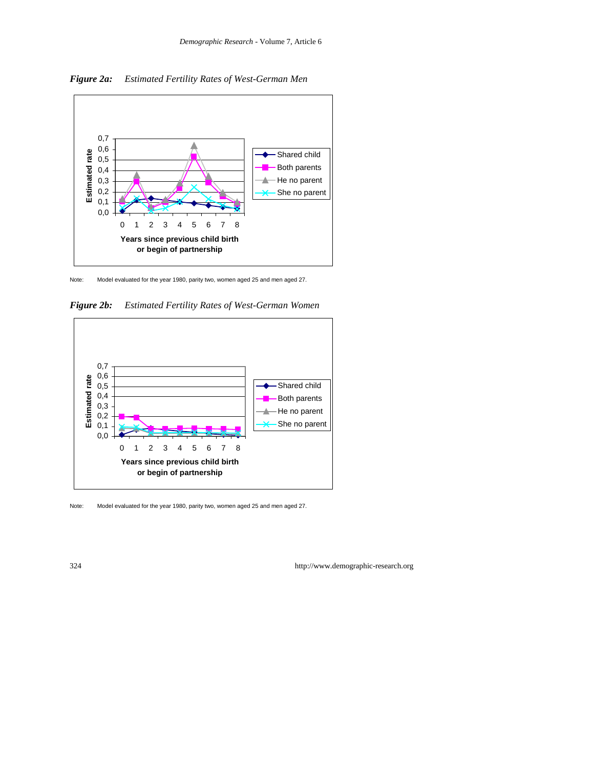

*Figure 2a: Estimated Fertility Rates of West-German Men*

Note: Model evaluated for the year 1980, parity two, women aged 25 and men aged 27.

*Figure 2b: Estimated Fertility Rates of West-German Women*



Note: Model evaluated for the year 1980, parity two, women aged 25 and men aged 27.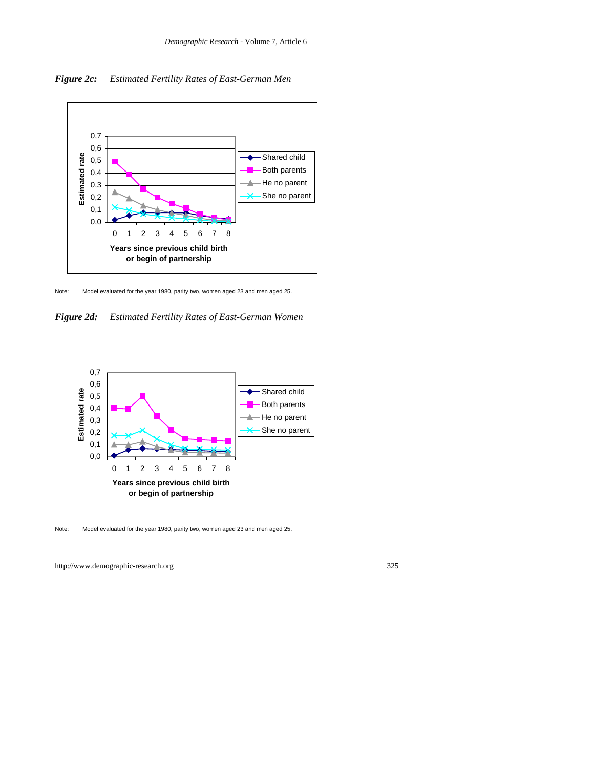*Figure 2c: Estimated Fertility Rates of East-German Men*



Note: Model evaluated for the year 1980, parity two, women aged 23 and men aged 25.

*Figure 2d: Estimated Fertility Rates of East-German Women*



Note: Model evaluated for the year 1980, parity two, women aged 23 and men aged 25.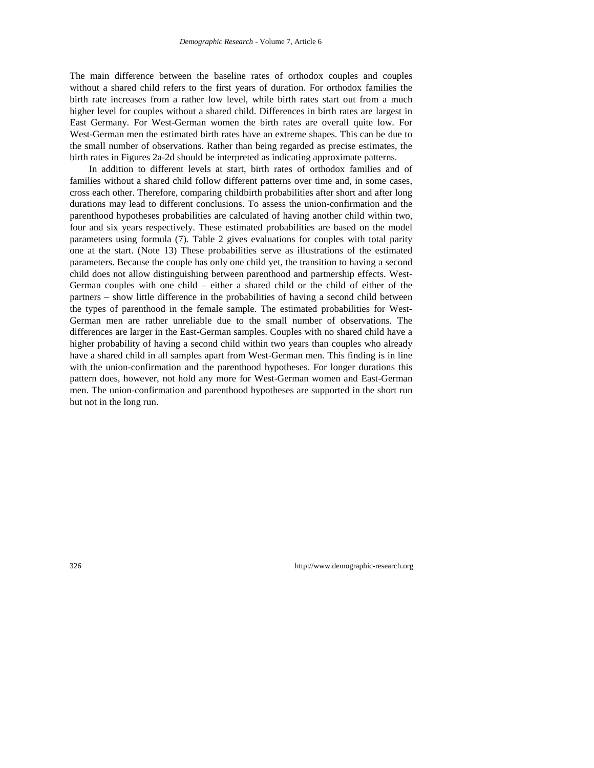The main difference between the baseline rates of orthodox couples and couples without a shared child refers to the first years of duration. For orthodox families the birth rate increases from a rather low level, while birth rates start out from a much higher level for couples without a shared child. Differences in birth rates are largest in East Germany. For West-German women the birth rates are overall quite low. For West-German men the estimated birth rates have an extreme shapes. This can be due to the small number of observations. Rather than being regarded as precise estimates, the birth rates in Figures 2a-2d should be interpreted as indicating approximate patterns.

In addition to different levels at start, birth rates of orthodox families and of families without a shared child follow different patterns over time and, in some cases, cross each other. Therefore, comparing childbirth probabilities after short and after long durations may lead to different conclusions. To assess the union-confirmation and the parenthood hypotheses probabilities are calculated of having another child within two, four and six years respectively. These estimated probabilities are based on the model parameters using formula (7). Table 2 gives evaluations for couples with total parity one at the start. (Note 13) These probabilities serve as illustrations of the estimated parameters. Because the couple has only one child yet, the transition to having a second child does not allow distinguishing between parenthood and partnership effects. West-German couples with one child – either a shared child or the child of either of the partners – show little difference in the probabilities of having a second child between the types of parenthood in the female sample. The estimated probabilities for West-German men are rather unreliable due to the small number of observations. The differences are larger in the East-German samples. Couples with no shared child have a higher probability of having a second child within two years than couples who already have a shared child in all samples apart from West-German men. This finding is in line with the union-confirmation and the parenthood hypotheses. For longer durations this pattern does, however, not hold any more for West-German women and East-German men. The union-confirmation and parenthood hypotheses are supported in the short run but not in the long run.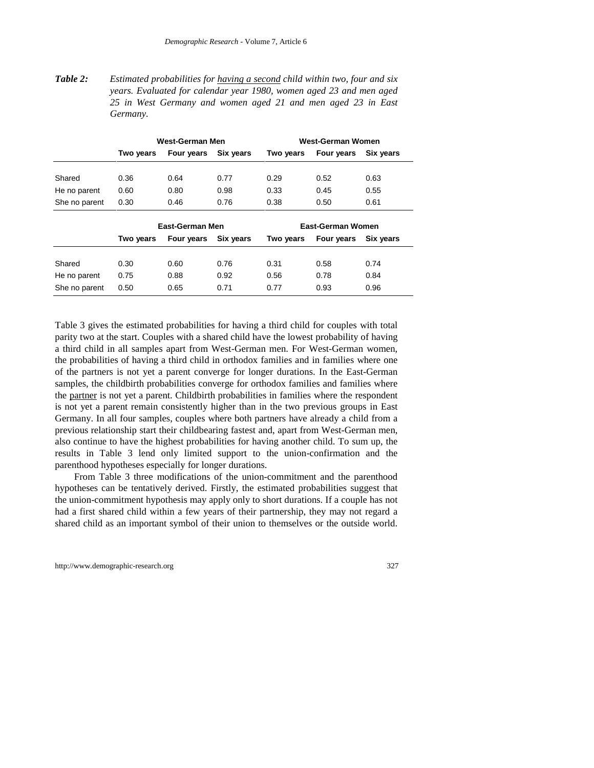*Table 2: Estimated probabilities for having a second child within two, four and six years. Evaluated for calendar year 1980, women aged 23 and men aged 25 in West Germany and women aged 21 and men aged 23 in East Germany.*

|                 | West-German Men |                   |           |           | West-German Women |           |  |
|-----------------|-----------------|-------------------|-----------|-----------|-------------------|-----------|--|
|                 | Two years       | Four years        | Six years | Two years | Four years        | Six years |  |
|                 |                 |                   |           |           |                   |           |  |
| Shared          | 0.36            | 0.64              | 0.77      | 0.29      | 0.52              | 0.63      |  |
| He no parent    | 0.60            | 0.80              | 0.98      | 0.33      | 0.45              | 0.55      |  |
| She no parent   | 0.30            | 0.46              | 0.76      | 0.38      | 0.50              | 0.61      |  |
| East-German Men |                 | East-German Women |           |           |                   |           |  |
|                 | Two years       | Four years        | Six years | Two years | Four years        | Six years |  |
|                 |                 |                   |           |           |                   |           |  |
| Shared          | 0.30            | 0.60              | 0.76      | 0.31      | 0.58              | 0.74      |  |
| He no parent    | 0.75            | 0.88              | 0.92      | 0.56      | 0.78              | 0.84      |  |
| She no parent   | 0.50            | 0.65              | 0.71      | 0.77      | 0.93              | 0.96      |  |

Table 3 gives the estimated probabilities for having a third child for couples with total parity two at the start. Couples with a shared child have the lowest probability of having a third child in all samples apart from West-German men. For West-German women, the probabilities of having a third child in orthodox families and in families where one of the partners is not yet a parent converge for longer durations. In the East-German samples, the childbirth probabilities converge for orthodox families and families where the partner is not yet a parent. Childbirth probabilities in families where the respondent is not yet a parent remain consistently higher than in the two previous groups in East Germany. In all four samples, couples where both partners have already a child from a previous relationship start their childbearing fastest and, apart from West-German men, also continue to have the highest probabilities for having another child. To sum up, the results in Table 3 lend only limited support to the union-confirmation and the parenthood hypotheses especially for longer durations.

From Table 3 three modifications of the union-commitment and the parenthood hypotheses can be tentatively derived. Firstly, the estimated probabilities suggest that the union-commitment hypothesis may apply only to short durations. If a couple has not had a first shared child within a few years of their partnership, they may not regard a shared child as an important symbol of their union to themselves or the outside world.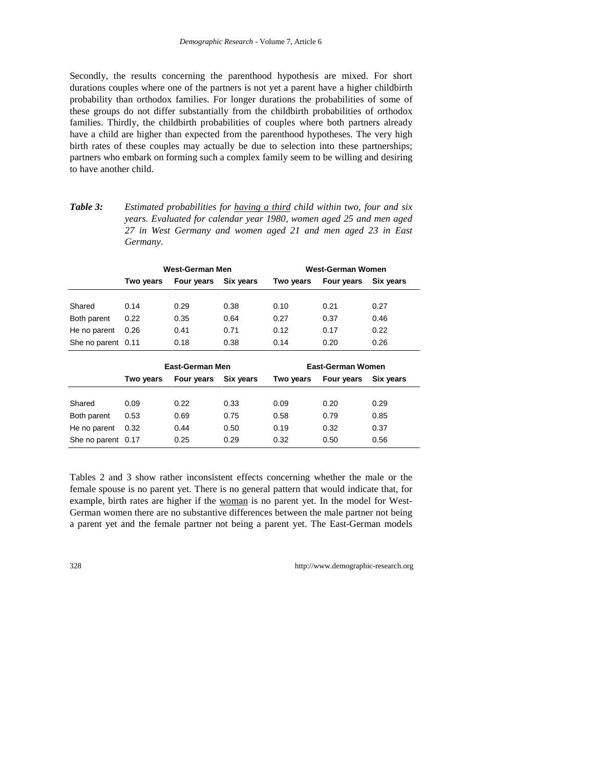Secondly, the results concerning the parenthood hypothesis are mixed. For short durations couples where one of the partners is not yet a parent have a higher childbirth probability than orthodox families. For longer durations the probabilities of some of these groups do not differ substantially from the childbirth probabilities of orthodox families. Thirdly, the childbirth probabilities of couples where both partners already have a child are higher than expected from the parenthood hypotheses. The very high birth rates of these couples may actually be due to selection into these partnerships; partners who embark on forming such a complex family seem to be willing and desiring to have another child.

| Table 3: | Estimated probabilities for having a third child within two, four and six |
|----------|---------------------------------------------------------------------------|
|          | years. Evaluated for calendar year 1980, women aged 25 and men aged       |
|          | 27 in West Germany and women aged 21 and men aged 23 in East              |
|          | Germany.                                                                  |

|                    |           | West-German Men<br>Four years<br>0.38<br>0.29<br>0.35<br>0.64<br>0.41<br>0.71 |           | West-German Women |                          |           |  |
|--------------------|-----------|-------------------------------------------------------------------------------|-----------|-------------------|--------------------------|-----------|--|
|                    | Two years |                                                                               | Six years | Two years         | Four years               | Six years |  |
|                    |           |                                                                               |           |                   |                          |           |  |
| Shared             | 0.14      |                                                                               |           | 0.10              | 0.21                     | 0.27      |  |
| Both parent        | 0.22      |                                                                               |           | 0.27              | 0.37                     | 0.46      |  |
| He no parent       | 0.26      |                                                                               |           | 0.12              | 0.17                     | 0.22      |  |
| She no parent 0.11 |           | 0.18                                                                          | 0.38      | 0.14              | 0.20                     | 0.26      |  |
|                    |           | East-German Men                                                               |           |                   | <b>East-German Women</b> |           |  |
|                    | Two years | Four years                                                                    | Six years | Two years         | Four years               | Six years |  |
|                    |           |                                                                               |           |                   |                          |           |  |
| Shared             | 0.09      | 0.22                                                                          | 0.33      | 0.09              | 0.20                     | 0.29      |  |

Tables 2 and 3 show rather inconsistent effects concerning whether the male or the female spouse is no parent yet. There is no general pattern that would indicate that, for example, birth rates are higher if the woman is no parent yet. In the model for West-German women there are no substantive differences between the male partner not being a parent yet and the female partner not being a parent yet. The East-German models

Both parent 0.53 0.69 0.75 0.58 0.79 0.85 He no parent 0.32 0.44 0.50 0.19 0.32 0.37 She no parent 0.17 0.25 0.29 0.32 0.50 0.56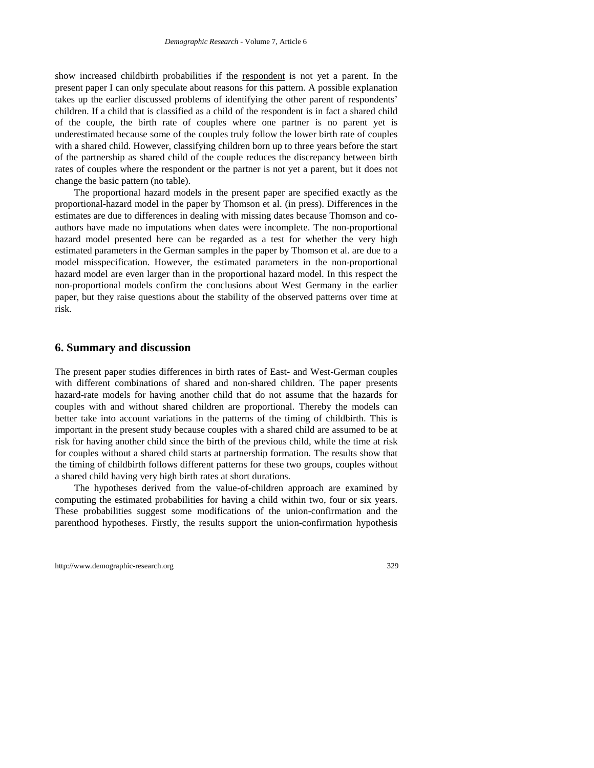show increased childbirth probabilities if the respondent is not yet a parent. In the present paper I can only speculate about reasons for this pattern. A possible explanation takes up the earlier discussed problems of identifying the other parent of respondents' children. If a child that is classified as a child of the respondent is in fact a shared child of the couple, the birth rate of couples where one partner is no parent yet is underestimated because some of the couples truly follow the lower birth rate of couples with a shared child. However, classifying children born up to three years before the start of the partnership as shared child of the couple reduces the discrepancy between birth rates of couples where the respondent or the partner is not yet a parent, but it does not change the basic pattern (no table).

The proportional hazard models in the present paper are specified exactly as the proportional-hazard model in the paper by Thomson et al. (in press). Differences in the estimates are due to differences in dealing with missing dates because Thomson and coauthors have made no imputations when dates were incomplete. The non-proportional hazard model presented here can be regarded as a test for whether the very high estimated parameters in the German samples in the paper by Thomson et al. are due to a model misspecification. However, the estimated parameters in the non-proportional hazard model are even larger than in the proportional hazard model. In this respect the non-proportional models confirm the conclusions about West Germany in the earlier paper, but they raise questions about the stability of the observed patterns over time at risk.

#### **6. Summary and discussion**

The present paper studies differences in birth rates of East- and West-German couples with different combinations of shared and non-shared children. The paper presents hazard-rate models for having another child that do not assume that the hazards for couples with and without shared children are proportional. Thereby the models can better take into account variations in the patterns of the timing of childbirth. This is important in the present study because couples with a shared child are assumed to be at risk for having another child since the birth of the previous child, while the time at risk for couples without a shared child starts at partnership formation. The results show that the timing of childbirth follows different patterns for these two groups, couples without a shared child having very high birth rates at short durations.

The hypotheses derived from the value-of-children approach are examined by computing the estimated probabilities for having a child within two, four or six years. These probabilities suggest some modifications of the union-confirmation and the parenthood hypotheses. Firstly, the results support the union-confirmation hypothesis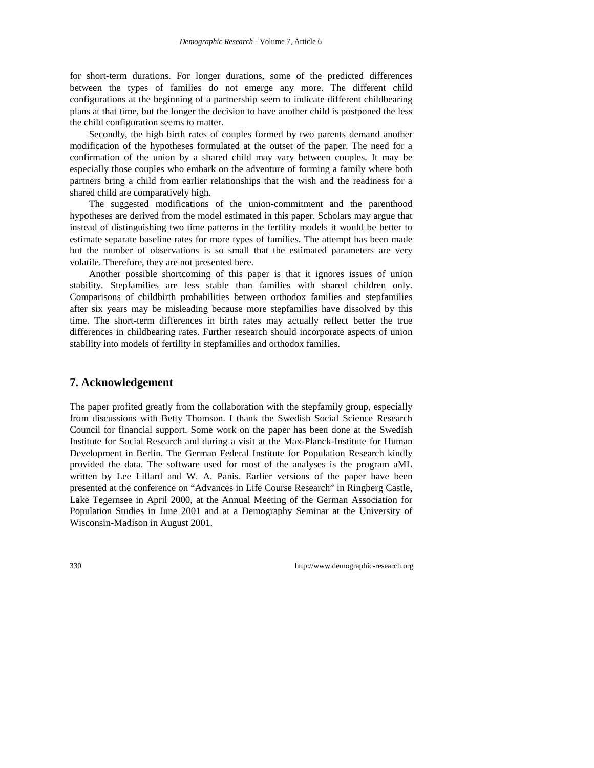for short-term durations. For longer durations, some of the predicted differences between the types of families do not emerge any more. The different child configurations at the beginning of a partnership seem to indicate different childbearing plans at that time, but the longer the decision to have another child is postponed the less the child configuration seems to matter.

Secondly, the high birth rates of couples formed by two parents demand another modification of the hypotheses formulated at the outset of the paper. The need for a confirmation of the union by a shared child may vary between couples. It may be especially those couples who embark on the adventure of forming a family where both partners bring a child from earlier relationships that the wish and the readiness for a shared child are comparatively high.

The suggested modifications of the union-commitment and the parenthood hypotheses are derived from the model estimated in this paper. Scholars may argue that instead of distinguishing two time patterns in the fertility models it would be better to estimate separate baseline rates for more types of families. The attempt has been made but the number of observations is so small that the estimated parameters are very volatile. Therefore, they are not presented here.

Another possible shortcoming of this paper is that it ignores issues of union stability. Stepfamilies are less stable than families with shared children only. Comparisons of childbirth probabilities between orthodox families and stepfamilies after six years may be misleading because more stepfamilies have dissolved by this time. The short-term differences in birth rates may actually reflect better the true differences in childbearing rates. Further research should incorporate aspects of union stability into models of fertility in stepfamilies and orthodox families.

## **7. Acknowledgement**

The paper profited greatly from the collaboration with the stepfamily group, especially from discussions with Betty Thomson. I thank the Swedish Social Science Research Council for financial support. Some work on the paper has been done at the Swedish Institute for Social Research and during a visit at the Max-Planck-Institute for Human Development in Berlin. The German Federal Institute for Population Research kindly provided the data. The software used for most of the analyses is the program aML written by Lee Lillard and W. A. Panis. Earlier versions of the paper have been presented at the conference on "Advances in Life Course Research" in Ringberg Castle, Lake Tegernsee in April 2000, at the Annual Meeting of the German Association for Population Studies in June 2001 and at a Demography Seminar at the University of Wisconsin-Madison in August 2001.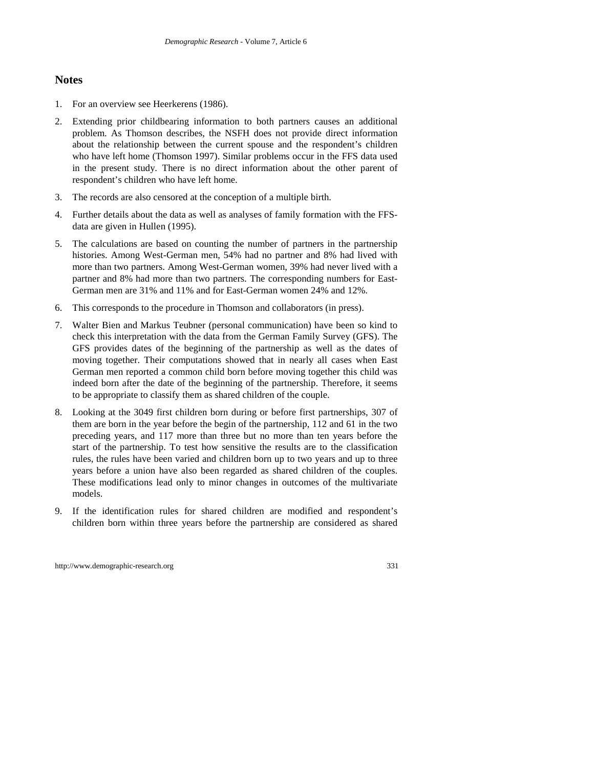## **Notes**

- 1. For an overview see Heerkerens (1986).
- 2. Extending prior childbearing information to both partners causes an additional problem. As Thomson describes, the NSFH does not provide direct information about the relationship between the current spouse and the respondent's children who have left home (Thomson 1997). Similar problems occur in the FFS data used in the present study. There is no direct information about the other parent of respondent's children who have left home.
- 3. The records are also censored at the conception of a multiple birth.
- 4. Further details about the data as well as analyses of family formation with the FFSdata are given in Hullen (1995).
- 5. The calculations are based on counting the number of partners in the partnership histories. Among West-German men, 54% had no partner and 8% had lived with more than two partners. Among West-German women, 39% had never lived with a partner and 8% had more than two partners. The corresponding numbers for East-German men are 31% and 11% and for East-German women 24% and 12%.
- 6. This corresponds to the procedure in Thomson and collaborators (in press).
- 7. Walter Bien and Markus Teubner (personal communication) have been so kind to check this interpretation with the data from the German Family Survey (GFS). The GFS provides dates of the beginning of the partnership as well as the dates of moving together. Their computations showed that in nearly all cases when East German men reported a common child born before moving together this child was indeed born after the date of the beginning of the partnership. Therefore, it seems to be appropriate to classify them as shared children of the couple.
- 8. Looking at the 3049 first children born during or before first partnerships, 307 of them are born in the year before the begin of the partnership, 112 and 61 in the two preceding years, and 117 more than three but no more than ten years before the start of the partnership. To test how sensitive the results are to the classification rules, the rules have been varied and children born up to two years and up to three years before a union have also been regarded as shared children of the couples. These modifications lead only to minor changes in outcomes of the multivariate models.
- 9. If the identification rules for shared children are modified and respondent's children born within three years before the partnership are considered as shared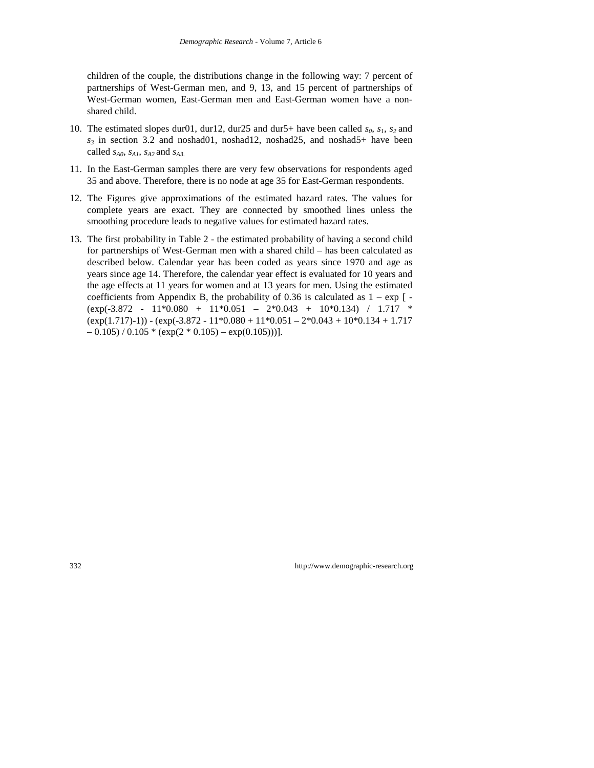children of the couple, the distributions change in the following way: 7 percent of partnerships of West-German men, and 9, 13, and 15 percent of partnerships of West-German women, East-German men and East-German women have a nonshared child.

- 10. The estimated slopes dur01, dur12, dur25 and dur5+ have been called  $s_0$ ,  $s_1$ ,  $s_2$  and  $s_3$  in section 3.2 and noshad01, noshad12, noshad25, and noshad5+ have been called  $s_{A0}$ ,  $s_{A1}$ ,  $s_{A2}$  and  $s_{A3}$ .
- 11. In the East-German samples there are very few observations for respondents aged 35 and above. Therefore, there is no node at age 35 for East-German respondents.
- 12. The Figures give approximations of the estimated hazard rates. The values for complete years are exact. They are connected by smoothed lines unless the smoothing procedure leads to negative values for estimated hazard rates.
- 13. The first probability in Table 2 the estimated probability of having a second child for partnerships of West-German men with a shared child – has been calculated as described below. Calendar year has been coded as years since 1970 and age as years since age 14. Therefore, the calendar year effect is evaluated for 10 years and the age effects at 11 years for women and at 13 years for men. Using the estimated coefficients from Appendix B, the probability of 0.36 is calculated as  $1 - \exp \left(-\frac{1}{2}\right)$  $(exp(-3.872 - 11*0.080 + 11*0.051 - 2*0.043 + 10*0.134) / 1.717$  \*  $(exp(1.717)-1)) - (exp(-3.872 - 11*0.080 + 11*0.051 - 2*0.043 + 10*0.134 + 1.717$  $-0.105$ ) /  $0.105 * (exp(2 * 0.105) - exp(0.105)))$ ].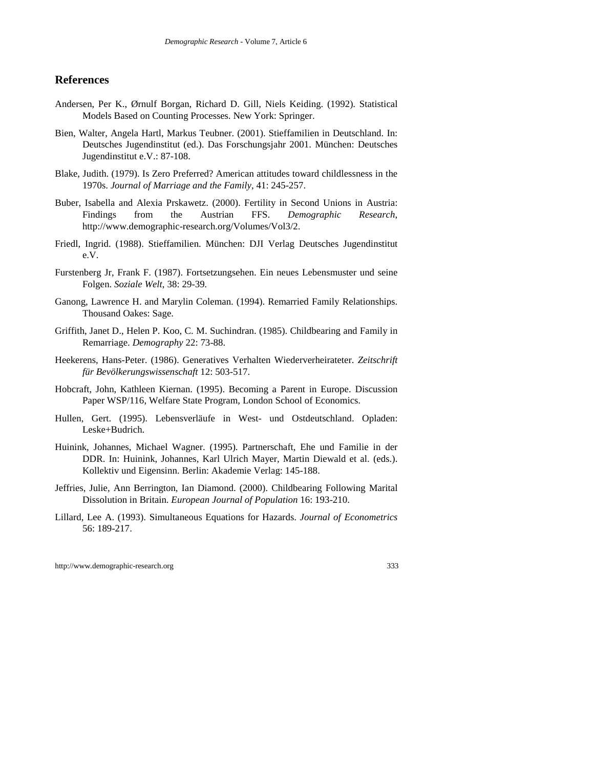#### **References**

- Andersen, Per K., Ørnulf Borgan, Richard D. Gill, Niels Keiding. (1992). Statistical Models Based on Counting Processes. New York: Springer.
- Bien, Walter, Angela Hartl, Markus Teubner. (2001). Stieffamilien in Deutschland. In: Deutsches Jugendinstitut (ed.). Das Forschungsjahr 2001. München: Deutsches Jugendinstitut e.V.: 87-108.
- Blake, Judith. (1979). Is Zero Preferred? American attitudes toward childlessness in the 1970s. *Journal of Marriage and the Family*, 41: 245-257.
- Buber, Isabella and Alexia Prskawetz. (2000). Fertility in Second Unions in Austria: Findings from the Austrian FFS. *Demographic Research*, http://www.demographic-research.org/Volumes/Vol3/2.
- Friedl, Ingrid. (1988). Stieffamilien. München: DJI Verlag Deutsches Jugendinstitut e.V.
- Furstenberg Jr, Frank F. (1987). Fortsetzungsehen. Ein neues Lebensmuster und seine Folgen. *Soziale Welt*, 38: 29-39*.*
- Ganong, Lawrence H. and Marylin Coleman. (1994). Remarried Family Relationships. Thousand Oakes: Sage.
- Griffith, Janet D., Helen P. Koo, C. M. Suchindran. (1985). Childbearing and Family in Remarriage. *Demography* 22: 73-88.
- Heekerens, Hans-Peter. (1986). Generatives Verhalten Wiederverheirateter. *Zeitschrift für Bevölkerungswissenschaft* 12: 503-517.
- Hobcraft, John, Kathleen Kiernan. (1995). Becoming a Parent in Europe. Discussion Paper WSP/116, Welfare State Program, London School of Economics.
- Hullen, Gert. (1995). Lebensverläufe in West- und Ostdeutschland. Opladen: Leske+Budrich.
- Huinink, Johannes, Michael Wagner. (1995). Partnerschaft, Ehe und Familie in der DDR. In: Huinink, Johannes, Karl Ulrich Mayer, Martin Diewald et al. (eds.). Kollektiv und Eigensinn. Berlin: Akademie Verlag: 145-188.
- Jeffries, Julie, Ann Berrington, Ian Diamond. (2000). Childbearing Following Marital Dissolution in Britain. *European Journal of Population* 16: 193-210.
- Lillard, Lee A. (1993). Simultaneous Equations for Hazards. *Journal of Econometrics* 56: 189-217.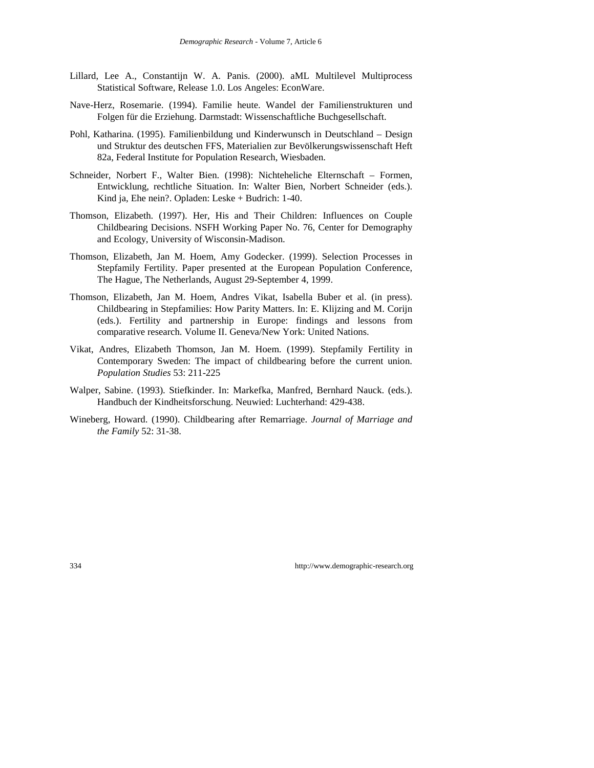- Lillard, Lee A., Constantijn W. A. Panis. (2000). aML Multilevel Multiprocess Statistical Software, Release 1.0. Los Angeles: EconWare.
- Nave-Herz, Rosemarie. (1994). Familie heute. Wandel der Familienstrukturen und Folgen für die Erziehung. Darmstadt: Wissenschaftliche Buchgesellschaft.
- Pohl, Katharina. (1995). Familienbildung und Kinderwunsch in Deutschland Design und Struktur des deutschen FFS, Materialien zur Bevölkerungswissenschaft Heft 82a, Federal Institute for Population Research, Wiesbaden.
- Schneider, Norbert F., Walter Bien. (1998): Nichteheliche Elternschaft Formen, Entwicklung, rechtliche Situation. In: Walter Bien, Norbert Schneider (eds.). Kind ja, Ehe nein?. Opladen: Leske + Budrich: 1-40.
- Thomson, Elizabeth. (1997). Her, His and Their Children: Influences on Couple Childbearing Decisions. NSFH Working Paper No. 76, Center for Demography and Ecology, University of Wisconsin-Madison.
- Thomson, Elizabeth, Jan M. Hoem, Amy Godecker. (1999). Selection Processes in Stepfamily Fertility. Paper presented at the European Population Conference, The Hague, The Netherlands, August 29-September 4, 1999.
- Thomson, Elizabeth, Jan M. Hoem, Andres Vikat, Isabella Buber et al. (in press). Childbearing in Stepfamilies: How Parity Matters. In: E. Klijzing and M. Corijn (eds.). Fertility and partnership in Europe: findings and lessons from comparative research. Volume II. Geneva/New York: United Nations.
- Vikat, Andres, Elizabeth Thomson, Jan M. Hoem. (1999). Stepfamily Fertility in Contemporary Sweden: The impact of childbearing before the current union. *Population Studies* 53: 211-225
- Walper, Sabine. (1993). Stiefkinder. In: Markefka, Manfred, Bernhard Nauck. (eds.). Handbuch der Kindheitsforschung. Neuwied: Luchterhand: 429-438.
- Wineberg, Howard. (1990). Childbearing after Remarriage. *Journal of Marriage and the Family* 52: 31-38.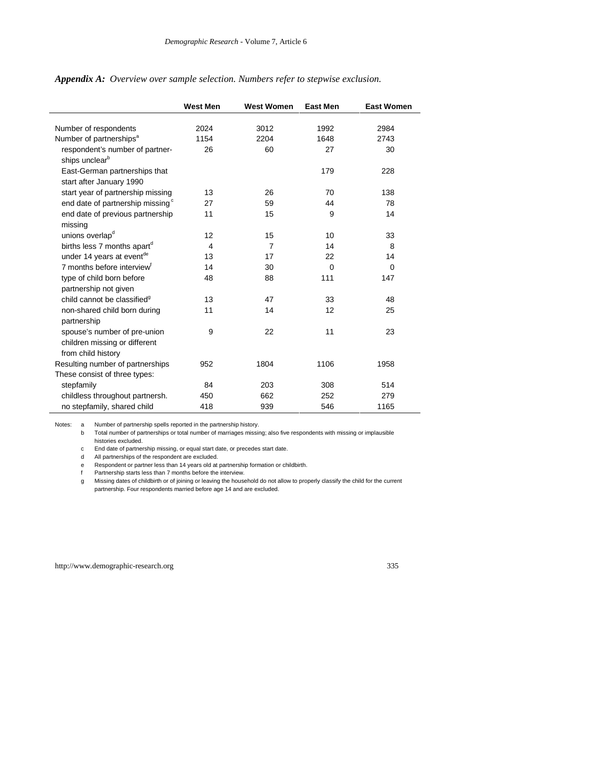|                                                                                     | <b>West Men</b> | <b>West Women</b> | <b>East Men</b> | <b>East Women</b> |
|-------------------------------------------------------------------------------------|-----------------|-------------------|-----------------|-------------------|
|                                                                                     |                 |                   |                 |                   |
| Number of respondents                                                               | 2024            | 3012              | 1992            | 2984              |
| Number of partnerships <sup>a</sup>                                                 | 1154            | 2204              | 1648            | 2743              |
| respondent's number of partner-<br>ships unclear <sup>b</sup>                       | 26              | 60                | 27              | 30                |
| East-German partnerships that<br>start after January 1990                           |                 |                   | 179             | 228               |
| start year of partnership missing                                                   | 13              | 26                | 70              | 138               |
| end date of partnership missing <sup>c</sup>                                        | 27              | 59                | 44              | 78                |
| end date of previous partnership<br>missing                                         | 11              | 15                | 9               | 14                |
| unions overlap <sup>d</sup>                                                         | 12              | 15                | 10              | 33                |
| births less 7 months apart <sup>d</sup>                                             | 4               | $\overline{7}$    | 14              | 8                 |
| under 14 years at eventde                                                           | 13              | 17                | 22              | 14                |
| 7 months before interview <sup>f</sup>                                              | 14              | 30                | $\Omega$        | $\Omega$          |
| type of child born before                                                           | 48              | 88                | 111             | 147               |
| partnership not given                                                               |                 |                   |                 |                   |
| child cannot be classified <sup>9</sup>                                             | 13              | 47                | 33              | 48                |
| non-shared child born during<br>partnership                                         | 11              | 14                | 12              | 25                |
| spouse's number of pre-union<br>children missing or different<br>from child history | 9               | 22                | 11              | 23                |
| Resulting number of partnerships                                                    | 952             | 1804              | 1106            | 1958              |
| These consist of three types:                                                       |                 |                   |                 |                   |
| stepfamily                                                                          | 84              | 203               | 308             | 514               |
| childless throughout partnersh.                                                     | 450             | 662               | 252             | 279               |
| no stepfamily, shared child                                                         | 418             | 939               | 546             | 1165              |

*Appendix A: Overview over sample selection. Numbers refer to stepwise exclusion.*

Notes: a Number of partnership spells reported in the partnership history.

b Total number of partnerships or total number of marriages missing; also five respondents with missing or implausible histories excluded.

c End date of partnership missing, or equal start date, or precedes start date.

d All partnerships of the respondent are excluded.

e Respondent or partner less than 14 years old at partnership formation or childbirth.

f Partnership starts less than 7 months before the interview.

g Missing dates of childbirth or of joining or leaving the household do not allow to properly classify the child for the current partnership. Four respondents married before age 14 and are excluded.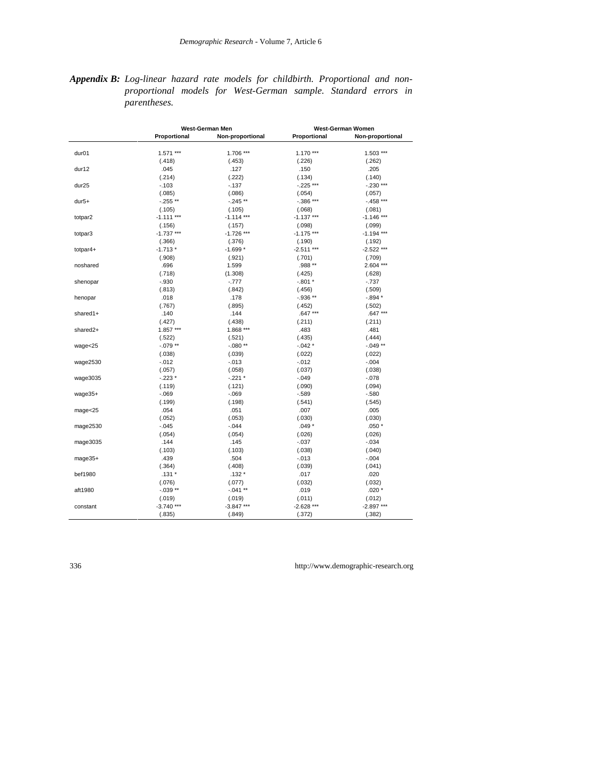*Appendix B: Log-linear hazard rate models for childbirth. Proportional and nonproportional models for West-German sample. Standard errors in parentheses.*

|                   |              | West-German Men  |              | West-German Women |  |  |
|-------------------|--------------|------------------|--------------|-------------------|--|--|
|                   | Proportional | Non-proportional | Proportional | Non-proportional  |  |  |
| dur <sub>01</sub> | 1.571 ***    | 1.706 ***        | 1.170 ***    | 1.503 ***         |  |  |
|                   | (.418)       | (.453)           | (.226)       | (.262)            |  |  |
| dur12             | .045         | .127             | .150         | .205              |  |  |
|                   | (.214)       | (.222)           | (.134)       | (.140)            |  |  |
| dur <sub>25</sub> | $-.103$      | $-137$           | $-.225$ ***  | $-.230$ ***       |  |  |
|                   | (.085)       | (.086)           | (.054)       | (.057)            |  |  |
| $dur5+$           | $-.255**$    | $-.245**$        | $-.386***$   | $-458$ ***        |  |  |
|                   | (.105)       | (.105)           | (.068)       | (.081)            |  |  |
| totpar2           | $-1.111***$  | $-1.114$ ***     | $-1.137***$  | $-1.146$ ***      |  |  |
|                   | (.156)       | (.157)           | (.098)       | (.099)            |  |  |
|                   | $-1.737***$  | $-1.726$ ***     | $-1.175$ *** | $-1.194$ ***      |  |  |
| totpar3           |              |                  |              |                   |  |  |
|                   | (.366)       | (.376)           | (.190)       | (.192)            |  |  |
| totpar4+          | $-1.713*$    | $-1.699*$        | $-2.511***$  | $-2.522$ ***      |  |  |
|                   | (.908)       | (.921)           | (.701)       | (.709)            |  |  |
| noshared          | .696         | 1.599            | .988 **      | $2.604***$        |  |  |
|                   | (.718)       | (1.308)          | (.425)       | (.628)            |  |  |
| shenopar          | $-0.930$     | $-777$           | $-.801*$     | $-.737$           |  |  |
|                   | (.813)       | (.842)           | (.456)       | (.509)            |  |  |
| henopar           | .018         | .178             | $-.936**$    | $-0.894*$         |  |  |
|                   | (.767)       | (.895)           | (.452)       | (.502)            |  |  |
| shared1+          | .140         | .144             | .647 ***     | $.647***$         |  |  |
|                   | (.427)       | (.438)           | (.211)       | (.211)            |  |  |
| shared2+          | 1.857 ***    | 1.868 ***        | .483         | .481              |  |  |
|                   | (.522)       | (.521)           | (.435)       | (.444)            |  |  |
| wage < 25         | $-.079**$    | $-.080**$        | $-.042*$     | $-0.049**$        |  |  |
|                   | (.038)       | (.039)           | (.022)       | (.022)            |  |  |
| wage2530          | $-0.012$     | $-0.013$         | $-.012$      | $-.004$           |  |  |
|                   | (.057)       | (.058)           | (.037)       | (.038)            |  |  |
| wage3035          | $-.223*$     | $-.221$ *        | $-.049$      | $-.078$           |  |  |
|                   | (.119)       | (.121)           | (.090)       | (.094)            |  |  |
| wage35+           | $-069$       | $-069$           | $-.589$      | $-.580$           |  |  |
|                   | (.199)       | (.198)           | (.541)       | (.545)            |  |  |
| mage<25           | .054         | .051             | .007         | .005              |  |  |
|                   | (.052)       | (.053)           | (.030)       | (.030)            |  |  |
| mage2530          | $-.045$      | $-0.044$         | $.049*$      | $.050*$           |  |  |
|                   | (.054)       | (.054)           | (.026)       | (.026)            |  |  |
| mage3035          | .144         | .145             | $-0.037$     | $-0.034$          |  |  |
|                   | (.103)       | (.103)           | (.038)       | (.040)            |  |  |
| mage35+           | .439         | .504             | $-0.013$     | $-.004$           |  |  |
|                   | (.364)       | (.408)           | (.039)       | (.041)            |  |  |
| bef1980           | $.131*$      | $.132*$          |              | .020              |  |  |
|                   |              |                  | .017         |                   |  |  |
|                   | (.076)       | (.077)           | (.032)       | (.032)            |  |  |
| aft1980           | $-.039**$    | $-.041**$        | .019         | $.020*$           |  |  |
|                   | (.019)       | (.019)           | (.011)       | (.012)            |  |  |
| constant          | $-3.740$ *** | $-3.847$ ***     | $-2.628$ *** | $-2.897***$       |  |  |
|                   | (.835)       | (.849)           | (.372)       | (.382)            |  |  |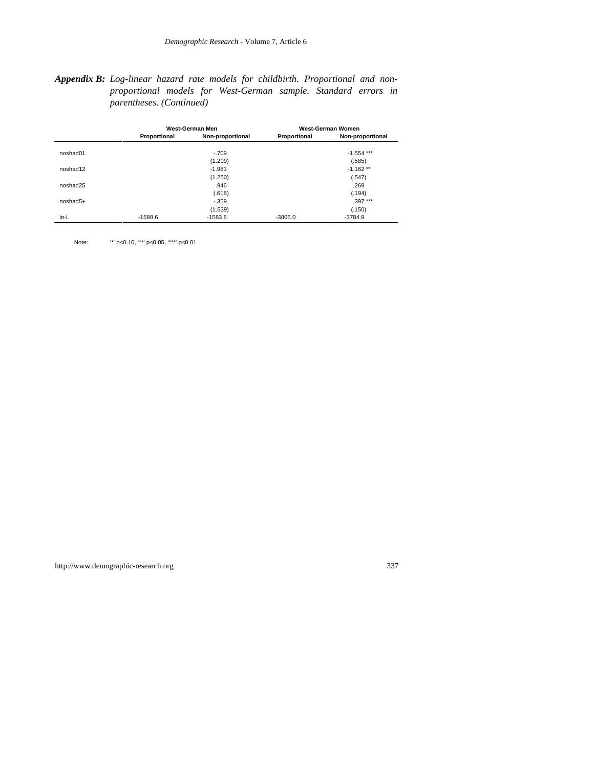#### *Appendix B: Log-linear hazard rate models for childbirth. Proportional and nonproportional models for West-German sample. Standard errors in parentheses. (Continued)*

|          |              | West-German Men  |              | West-German Women |
|----------|--------------|------------------|--------------|-------------------|
|          | Proportional | Non-proportional | Proportional | Non-proportional  |
| noshad01 |              | $-.709$          |              | $-1.554$ ***      |
|          |              | (1.209)          |              | (.585)            |
| noshad12 |              | $-1.983$         |              | $-1.162**$        |
|          |              | (1.250)          |              | (.547)            |
| noshad25 |              | .946             |              | .269              |
|          |              | (.618)           |              | (.194)            |
| noshad5+ |              | $-.359$          |              | $.397***$         |
|          |              | (1.539)          |              | (.150)            |
| $In-L$   | $-1588.6$    | $-1583.6$        | $-3806.0$    | $-3784.9$         |

Note: "\*' p<0.10, '\*\*' p<0.05, '\*\*\*' p<0.01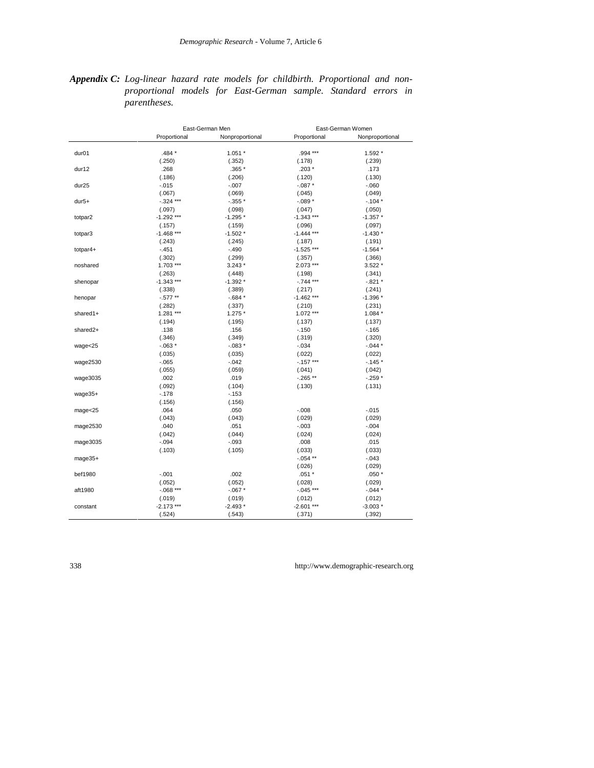#### *Appendix C: Log-linear hazard rate models for childbirth. Proportional and nonproportional models for East-German sample. Standard errors in parentheses.*

|                   |              | East-German Men |              | East-German Women |  |  |
|-------------------|--------------|-----------------|--------------|-------------------|--|--|
|                   | Proportional | Nonproportional | Proportional | Nonproportional   |  |  |
| dur <sub>01</sub> | .484 *       | $1.051 *$       | .994 ***     | 1.592 *           |  |  |
|                   | (.250)       | (.352)          | (.178)       | (.239)            |  |  |
| dur12             | .268         | .365 *          | $.203*$      | .173              |  |  |
|                   |              |                 |              |                   |  |  |
|                   | (.186)       | (.206)          | (.120)       | (.130)            |  |  |
| dur <sub>25</sub> | $-0.015$     | $-0.007$        | $-.087*$     | $-060$            |  |  |
|                   | (.067)       | (.069)          | (.045)       | (.049)            |  |  |
| $dur5+$           | $-.324$ ***  | $-.355*$        | $-.089*$     | $-.104*$          |  |  |
|                   | (.097)       | (.098)          | (.047)       | (.050)            |  |  |
| totpar2           | $-1.292$ *** | $-1.295*$       | $-1.343$ *** | $-1.357*$         |  |  |
|                   | (.157)       | (.159)          | (.096)       | (.097)            |  |  |
| totpar3           | $-1.468***$  | $-1.502*$       | $-1.444$ *** | $-1.430*$         |  |  |
|                   | (.243)       | (.245)          | (.187)       | (.191)            |  |  |
| totpar4+          | $-.451$      | $-.490$         | $-1.525$ *** | $-1.564*$         |  |  |
|                   | (.302)       | (.299)          | (.357)       | (.366)            |  |  |
| noshared          | $1.703***$   | $3.243*$        | $2.073***$   | $3.522*$          |  |  |
|                   | (.263)       | (.448)          | (.198)       | (.341)            |  |  |
| shenopar          | $-1.343$ *** | $-1.392*$       | $-.744$ ***  | $-.821*$          |  |  |
|                   | (.338)       | (.389)          | (.217)       | (.241)            |  |  |
| henopar           | $-0.577**$   | $-0.684*$       | $-1.462$ *** | $-1.396*$         |  |  |
|                   | (.282)       | (.337)          | (.210)       | (.231)            |  |  |
| shared1+          | 1.281 ***    | $1.275*$        | 1.072 ***    | $1.084*$          |  |  |
|                   | (.194)       | (.195)          | (.137)       | (.137)            |  |  |
| shared2+          | .138         | .156            | $-150$       | $-165$            |  |  |
|                   | (.346)       | (.349)          | (.319)       | (.320)            |  |  |
| wage < 25         | $-063*$      | $-.083*$        | $-.034$      | $-0.044*$         |  |  |
|                   | (.035)       | (.035)          | (.022)       | (.022)            |  |  |
|                   | $-.065$      | $-0.042$        | $-.157***$   | $-145*$           |  |  |
| wage2530          |              |                 |              |                   |  |  |
|                   | (.055)       | (.059)          | (.041)       | (.042)            |  |  |
| wage3035          | .002         | .019            | $-265**$     | $-259*$           |  |  |
|                   | (.092)       | (.104)          | (.130)       | (.131)            |  |  |
| wage35+           | $-.178$      | $-153$          |              |                   |  |  |
|                   | (.156)       | (.156)          |              |                   |  |  |
| $mag$ e< $25$     | .064         | .050            | $-0.008$     | $-0.015$          |  |  |
|                   | (.043)       | (.043)          | (.029)       | (.029)            |  |  |
| mage2530          | .040         | .051            | $-.003$      | $-.004$           |  |  |
|                   | (.042)       | (.044)          | (.024)       | (.024)            |  |  |
| mage3035          | $-.094$      | $-0.093$        | .008         | .015              |  |  |
|                   | (.103)       | (.105)          | (.033)       | (.033)            |  |  |
| $mage35+$         |              |                 | $-0.054**$   | $-.043$           |  |  |
|                   |              |                 | (.026)       | (.029)            |  |  |
| bef1980           | $-.001$      | .002            | $.051*$      | $.050*$           |  |  |
|                   | (.052)       | (.052)          | (.028)       | (.029)            |  |  |
| aft1980           | $-.068$ ***  | $-0.067$ *      | $-.045$ ***  | $-0.044*$         |  |  |
|                   | (.019)       | (.019)          | (.012)       | (.012)            |  |  |
| constant          | $-2.173$ *** | $-2.493*$       | $-2.601$ *** | $-3.003*$         |  |  |
|                   | (.524)       | (.543)          | (.371)       | (.392)            |  |  |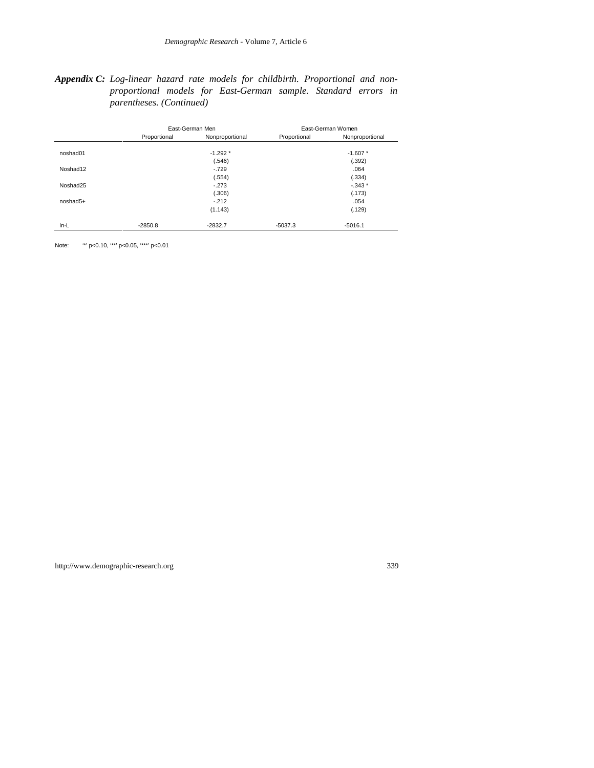#### *Appendix C: Log-linear hazard rate models for childbirth. Proportional and nonproportional models for East-German sample. Standard errors in parentheses. (Continued)*

|            |              | East-German Men |              | East-German Women |
|------------|--------------|-----------------|--------------|-------------------|
|            | Proportional | Nonproportional | Proportional | Nonproportional   |
| noshad01   |              | $-1.292*$       |              | $-1.607*$         |
|            |              | (.546)          |              | (.392)            |
| Noshad12   |              | $-.729$         |              | .064              |
|            |              | (.554)          |              | (.334)            |
| Noshad25   |              | $-.273$         |              | $-0.343*$         |
|            |              | (.306)          |              | (.173)            |
| $noshad5+$ |              | $-212$          |              | .054              |
|            |              | (1.143)         |              | (.129)            |
| $In-L$     | $-2850.8$    | $-2832.7$       | $-5037.3$    | $-5016.1$         |

Note: "\*' p<0.10, "\*\*' p<0.05, "\*\*\*' p<0.01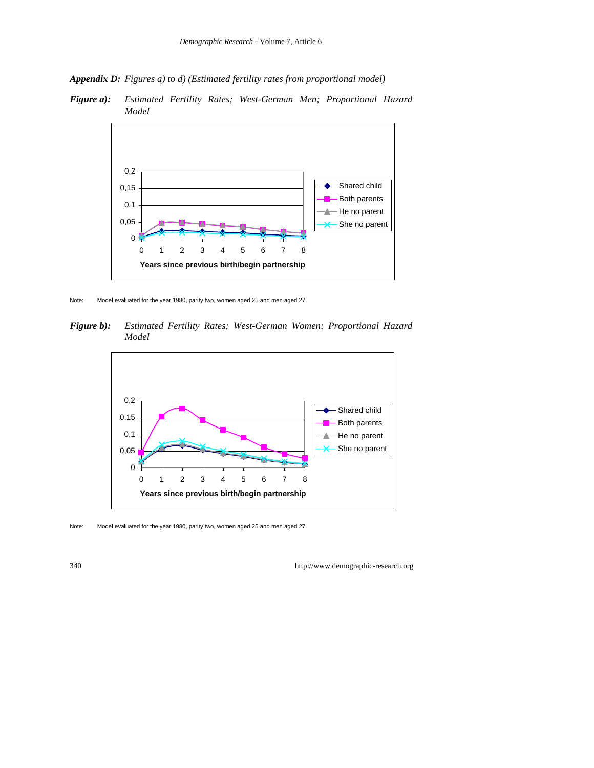*Appendix D: Figures a) to d) (Estimated fertility rates from proportional model)*



*Figure a): Estimated Fertility Rates; West-German Men; Proportional Hazard Model*

Note: Model evaluated for the year 1980, parity two, women aged 25 and men aged 27.

*Figure b): Estimated Fertility Rates; West-German Women; Proportional Hazard Model*



Note: Model evaluated for the year 1980, parity two, women aged 25 and men aged 27.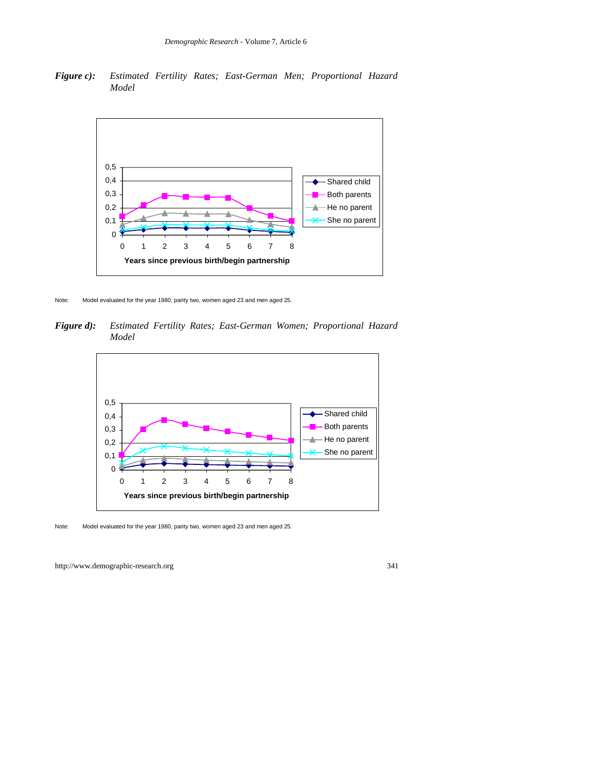*Figure c): Estimated Fertility Rates; East-German Men; Proportional Hazard Model*



Note: Model evaluated for the year 1980, parity two, women aged 23 and men aged 25.

*Figure d): Estimated Fertility Rates; East-German Women; Proportional Hazard Model*



Note: Model evaluated for the year 1980, parity two, women aged 23 and men aged 25.